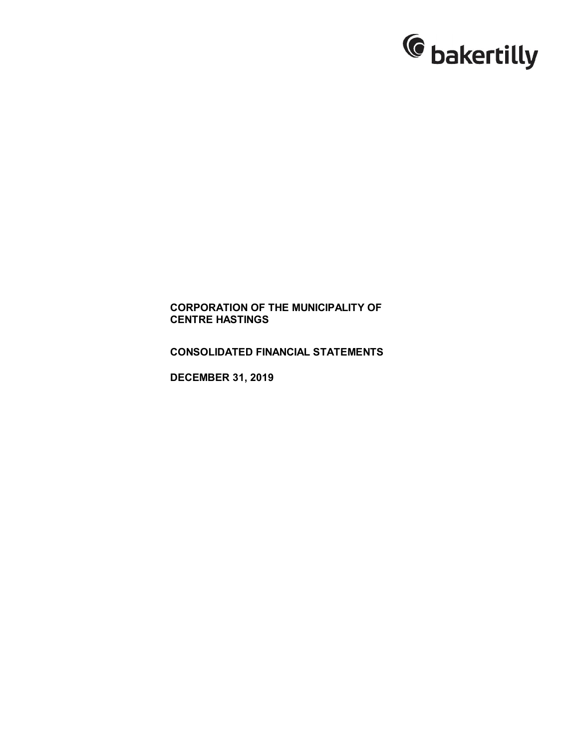

**CONSOLIDATED FINANCIAL STATEMENTS**

**DECEMBER 31, 2019**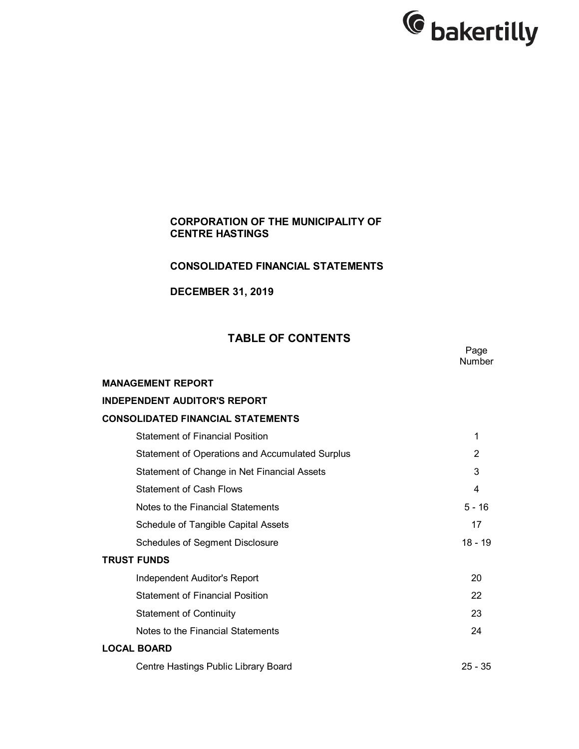

Page

### **CORPORATION OF THE MUNICIPALITY OF CENTRE HASTINGS**

### **CONSOLIDATED FINANCIAL STATEMENTS**

**DECEMBER 31, 2019**

### **TABLE OF CONTENTS**

|                                                 | Number    |
|-------------------------------------------------|-----------|
| <b>MANAGEMENT REPORT</b>                        |           |
| <b>INDEPENDENT AUDITOR'S REPORT</b>             |           |
| <b>CONSOLIDATED FINANCIAL STATEMENTS</b>        |           |
| <b>Statement of Financial Position</b>          | 1         |
| Statement of Operations and Accumulated Surplus | 2         |
| Statement of Change in Net Financial Assets     | 3         |
| <b>Statement of Cash Flows</b>                  | 4         |
| Notes to the Financial Statements               | $5 - 16$  |
| Schedule of Tangible Capital Assets             | 17        |
| <b>Schedules of Segment Disclosure</b>          | $18 - 19$ |
| <b>TRUST FUNDS</b>                              |           |
| Independent Auditor's Report                    | 20        |
| <b>Statement of Financial Position</b>          | 22        |
| <b>Statement of Continuity</b>                  | 23        |
| Notes to the Financial Statements               | 24        |
| <b>LOCAL BOARD</b>                              |           |
| Centre Hastings Public Library Board            | $25 - 35$ |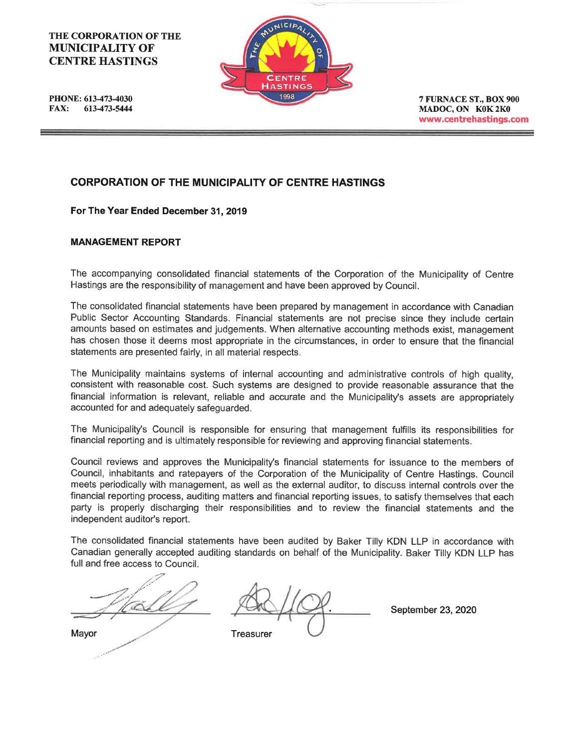

7 FURNACE ST., BOX 900 MADOC, ON K0K 2K0 www.centrehastings.com

PHONE: 613-473-4030 **FAX:** 613-473-5444

### **CORPORATION OF THE MUNICIPALITY OF CENTRE HASTINGS**

For The Year Ended December 31, 2019

#### **MANAGEMENT REPORT**

The accompanying consolidated financial statements of the Corporation of the Municipality of Centre Hastings are the responsibility of management and have been approved by Council.

The consolidated financial statements have been prepared by management in accordance with Canadian Public Sector Accounting Standards. Financial statements are not precise since they include certain amounts based on estimates and judgements. When alternative accounting methods exist, management has chosen those it deems most appropriate in the circumstances, in order to ensure that the financial statements are presented fairly, in all material respects.

The Municipality maintains systems of internal accounting and administrative controls of high quality. consistent with reasonable cost. Such systems are designed to provide reasonable assurance that the financial information is relevant, reliable and accurate and the Municipality's assets are appropriately accounted for and adequately safeguarded.

The Municipality's Council is responsible for ensuring that management fulfills its responsibilities for financial reporting and is ultimately responsible for reviewing and approving financial statements.

Council reviews and approves the Municipality's financial statements for issuance to the members of Council, inhabitants and ratepayers of the Corporation of the Municipality of Centre Hastings. Council meets periodically with management, as well as the external auditor, to discuss internal controls over the financial reporting process, auditing matters and financial reporting issues, to satisfy themselves that each party is properly discharging their responsibilities and to review the financial statements and the independent auditor's report.

The consolidated financial statements have been audited by Baker Tilly KDN LLP in accordance with Canadian generally accepted auditing standards on behalf of the Municipality. Baker Tilly KDN LLP has full and free access to Council.

September 23, 2020

Mayor

Treasurer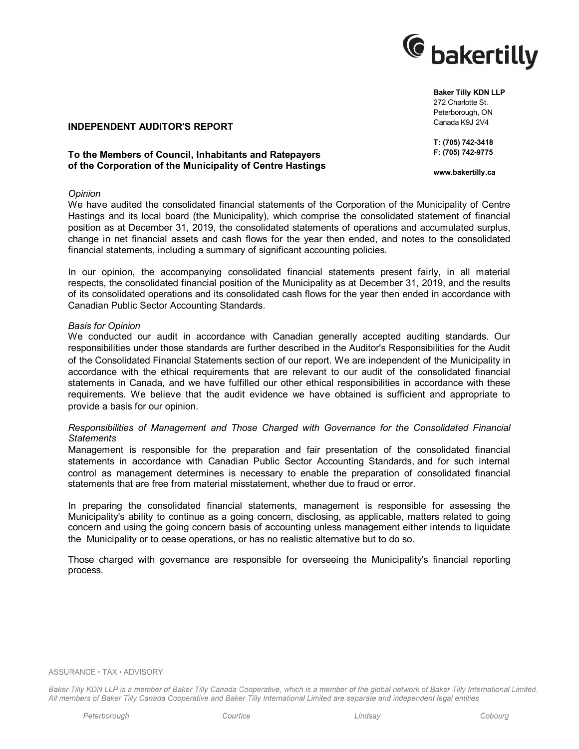

### **Baker Tilly KDN LLP**

272 Charlotte St. Peterborough, ON Canada K9J 2V4

**T: (705) 742-3418 F: (705) 742-9775**

**www.bakertilly.ca**

#### **INDEPENDENT AUDITOR'S REPORT**

#### **To the Members of Council, Inhabitants and Ratepayers of the Corporation of the Municipality of Centre Hastings**

#### *Opinion*

We have audited the consolidated financial statements of the Corporation of the Municipality of Centre Hastings and its local board (the Municipality), which comprise the consolidated statement of financial position as at December 31, 2019, the consolidated statements of operations and accumulated surplus, change in net financial assets and cash flows for the year then ended, and notes to the consolidated financial statements, including a summary of significant accounting policies.

In our opinion, the accompanying consolidated financial statements present fairly, in all material respects, the consolidated financial position of the Municipality as at December 31, 2019, and the results of its consolidated operations and its consolidated cash flows for the year then ended in accordance with Canadian Public Sector Accounting Standards.

#### *Basis for Opinion*

We conducted our audit in accordance with Canadian generally accepted auditing standards. Our responsibilities under those standards are further described in the Auditor's Responsibilities for the Audit of the Consolidated Financial Statements section of our report. We are independent of the Municipality in accordance with the ethical requirements that are relevant to our audit of the consolidated financial statements in Canada, and we have fulfilled our other ethical responsibilities in accordance with these requirements. We believe that the audit evidence we have obtained is sufficient and appropriate to provide a basis for our opinion.

#### *Responsibilities of Management and Those Charged with Governance for the Consolidated Financial Statements*

Management is responsible for the preparation and fair presentation of the consolidated financial statements in accordance with Canadian Public Sector Accounting Standards, and for such internal control as management determines is necessary to enable the preparation of consolidated financial statements that are free from material misstatement, whether due to fraud or error.

In preparing the consolidated financial statements, management is responsible for assessing the Municipality's ability to continue as a going concern, disclosing, as applicable, matters related to going concern and using the going concern basis of accounting unless management either intends to liquidate the Municipality or to cease operations, or has no realistic alternative but to do so.

Those charged with governance are responsible for overseeing the Municipality's financial reporting process.

#### ASSURANCE · TAX · ADVISORY

Baker Tilly KDN LLP is a member of Baker Tilly Canada Cooperative, which is a member of the global network of Baker Tilly International Limited. All members of Baker Tilly Canada Cooperative and Baker Tilly International Limited are separate and independent legal entities.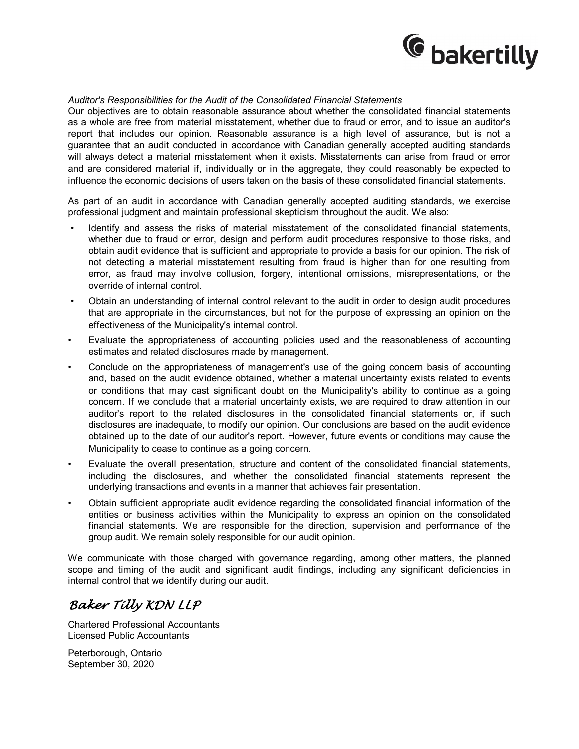

#### *Auditor's Responsibilities for the Audit of the Consolidated Financial Statements*

Our objectives are to obtain reasonable assurance about whether the consolidated financial statements as a whole are free from material misstatement, whether due to fraud or error, and to issue an auditor's report that includes our opinion. Reasonable assurance is a high level of assurance, but is not a guarantee that an audit conducted in accordance with Canadian generally accepted auditing standards will always detect a material misstatement when it exists. Misstatements can arise from fraud or error and are considered material if, individually or in the aggregate, they could reasonably be expected to influence the economic decisions of users taken on the basis of these consolidated financial statements.

As part of an audit in accordance with Canadian generally accepted auditing standards, we exercise professional judgment and maintain professional skepticism throughout the audit. We also:

- Identify and assess the risks of material misstatement of the consolidated financial statements, whether due to fraud or error, design and perform audit procedures responsive to those risks, and obtain audit evidence that is sufficient and appropriate to provide a basis for our opinion. The risk of not detecting a material misstatement resulting from fraud is higher than for one resulting from error, as fraud may involve collusion, forgery, intentional omissions, misrepresentations, or the override of internal control.
- Obtain an understanding of internal control relevant to the audit in order to design audit procedures that are appropriate in the circumstances, but not for the purpose of expressing an opinion on the effectiveness of the Municipality's internal control.
- Evaluate the appropriateness of accounting policies used and the reasonableness of accounting estimates and related disclosures made by management.
- Conclude on the appropriateness of management's use of the going concern basis of accounting and, based on the audit evidence obtained, whether a material uncertainty exists related to events or conditions that may cast significant doubt on the Municipality's ability to continue as a going concern. If we conclude that a material uncertainty exists, we are required to draw attention in our auditor's report to the related disclosures in the consolidated financial statements or, if such disclosures are inadequate, to modify our opinion. Our conclusions are based on the audit evidence obtained up to the date of our auditor's report. However, future events or conditions may cause the Municipality to cease to continue as a going concern.
- Evaluate the overall presentation, structure and content of the consolidated financial statements, including the disclosures, and whether the consolidated financial statements represent the underlying transactions and events in a manner that achieves fair presentation.
- Obtain sufficient appropriate audit evidence regarding the consolidated financial information of the entities or business activities within the Municipality to express an opinion on the consolidated financial statements. We are responsible for the direction, supervision and performance of the group audit. We remain solely responsible for our audit opinion.

We communicate with those charged with governance regarding, among other matters, the planned scope and timing of the audit and significant audit findings, including any significant deficiencies in internal control that we identify during our audit.

# *Baker Tilly KDN LLP*

Chartered Professional Accountants Licensed Public Accountants

Peterborough, Ontario September 30, 2020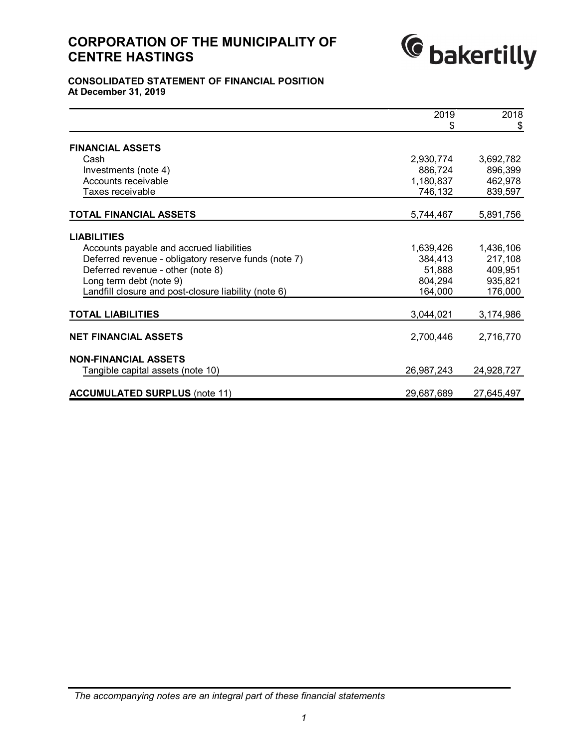

### **CONSOLIDATED STATEMENT OF FINANCIAL POSITION At December 31, 2019**

|                                                      | 2019       | 2018       |
|------------------------------------------------------|------------|------------|
|                                                      | \$         | \$         |
| <b>FINANCIAL ASSETS</b>                              |            |            |
| Cash                                                 | 2,930,774  | 3,692,782  |
| Investments (note 4)                                 | 886,724    | 896,399    |
| Accounts receivable                                  | 1,180,837  | 462,978    |
| Taxes receivable                                     | 746,132    | 839,597    |
| <b>TOTAL FINANCIAL ASSETS</b>                        | 5,744,467  | 5,891,756  |
|                                                      |            |            |
| <b>LIABILITIES</b>                                   |            |            |
| Accounts payable and accrued liabilities             | 1,639,426  | 1,436,106  |
| Deferred revenue - obligatory reserve funds (note 7) | 384,413    | 217,108    |
| Deferred revenue - other (note 8)                    | 51,888     | 409,951    |
| Long term debt (note 9)                              | 804,294    | 935,821    |
| Landfill closure and post-closure liability (note 6) | 164,000    | 176,000    |
| <b>TOTAL LIABILITIES</b>                             | 3,044,021  | 3,174,986  |
| <b>NET FINANCIAL ASSETS</b>                          | 2,700,446  | 2,716,770  |
| <b>NON-FINANCIAL ASSETS</b>                          |            |            |
| Tangible capital assets (note 10)                    | 26,987,243 | 24,928,727 |
| <b>ACCUMULATED SURPLUS (note 11)</b>                 | 29,687,689 | 27,645,497 |

*The accompanying notes are an integral part of these financial statements*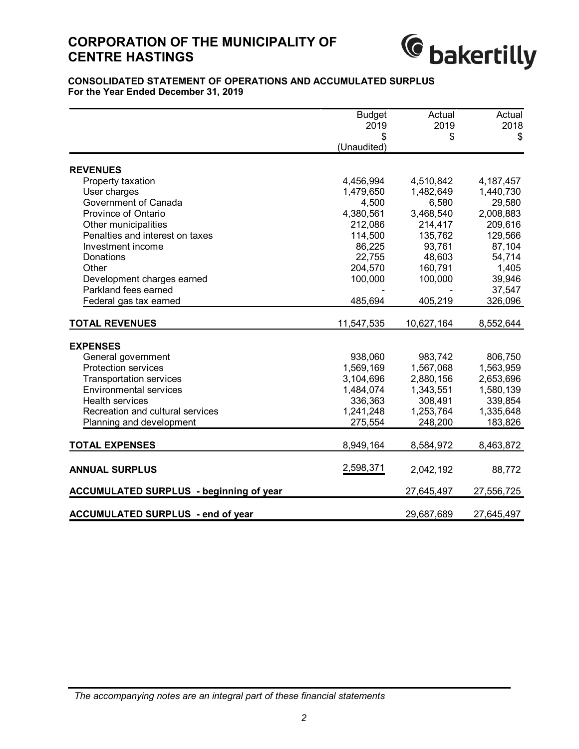

### **CONSOLIDATED STATEMENT OF OPERATIONS AND ACCUMULATED SURPLUS For the Year Ended December 31, 2019**

|                                                | <b>Budget</b>      | Actual     | Actual     |
|------------------------------------------------|--------------------|------------|------------|
|                                                | 2019               | 2019       | 2018       |
|                                                | \$.<br>(Unaudited) | \$         | \$         |
|                                                |                    |            |            |
| <b>REVENUES</b>                                |                    |            |            |
| Property taxation                              | 4,456,994          | 4,510,842  | 4,187,457  |
| User charges                                   | 1,479,650          | 1,482,649  | 1,440,730  |
| Government of Canada                           | 4,500              | 6,580      | 29,580     |
| Province of Ontario                            | 4,380,561          | 3,468,540  | 2,008,883  |
| Other municipalities                           | 212,086            | 214,417    | 209,616    |
| Penalties and interest on taxes                | 114,500            | 135,762    | 129,566    |
| Investment income                              | 86,225             | 93,761     | 87,104     |
| Donations                                      | 22,755             | 48,603     | 54,714     |
| Other                                          | 204,570            | 160,791    | 1,405      |
| Development charges earned                     | 100,000            | 100,000    | 39,946     |
| Parkland fees earned                           |                    |            | 37,547     |
| Federal gas tax earned                         | 485,694            | 405,219    | 326,096    |
| <b>TOTAL REVENUES</b>                          | 11,547,535         | 10,627,164 | 8,552,644  |
| <b>EXPENSES</b>                                |                    |            |            |
| General government                             | 938,060            | 983,742    | 806,750    |
| <b>Protection services</b>                     | 1,569,169          | 1,567,068  | 1,563,959  |
| <b>Transportation services</b>                 | 3,104,696          | 2,880,156  | 2,653,696  |
| <b>Environmental services</b>                  | 1,484,074          | 1,343,551  | 1,580,139  |
| <b>Health services</b>                         | 336,363            | 308,491    | 339,854    |
| Recreation and cultural services               | 1,241,248          | 1,253,764  | 1,335,648  |
| Planning and development                       | 275,554            | 248,200    | 183,826    |
|                                                |                    |            |            |
| <b>TOTAL EXPENSES</b>                          | 8,949,164          | 8,584,972  | 8,463,872  |
| <b>ANNUAL SURPLUS</b>                          | 2,598,371          | 2,042,192  | 88,772     |
| <b>ACCUMULATED SURPLUS</b> - beginning of year |                    | 27,645,497 | 27,556,725 |
| <b>ACCUMULATED SURPLUS - end of year</b>       |                    | 29,687,689 | 27,645,497 |

 *The accompanying notes are an integral part of these financial statements*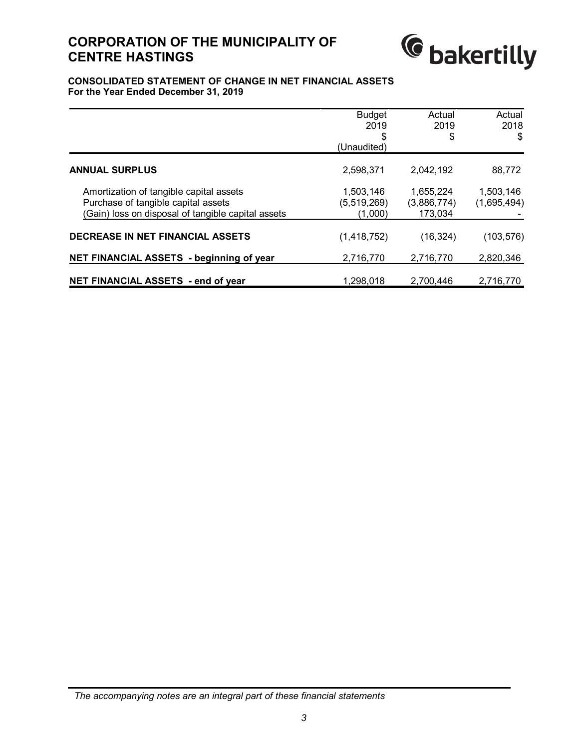

### **CONSOLIDATED STATEMENT OF CHANGE IN NET FINANCIAL ASSETS For the Year Ended December 31, 2019**

|                                                    | <b>Budget</b><br>2019<br>S | Actual<br>2019<br>\$ | Actual<br>2018<br>\$ |
|----------------------------------------------------|----------------------------|----------------------|----------------------|
|                                                    | (Unaudited)                |                      |                      |
| <b>ANNUAL SURPLUS</b>                              | 2,598,371                  | 2,042,192            | 88,772               |
| Amortization of tangible capital assets            | 1,503,146                  | 1,655,224            | 1,503,146            |
| Purchase of tangible capital assets                | (5,519,269)                | (3,886,774)          | (1,695,494)          |
| (Gain) loss on disposal of tangible capital assets | (1,000)                    | 173,034              |                      |
| DECREASE IN NET FINANCIAL ASSETS                   | (1, 418, 752)              | (16, 324)            | (103, 576)           |
| NET FINANCIAL ASSETS - beginning of year           | 2,716,770                  | 2,716,770            | 2,820,346            |
| NET FINANCIAL ASSETS - end of year                 | 1,298,018                  | 2,700,446            | 2,716,770            |

*The accompanying notes are an integral part of these financial statements*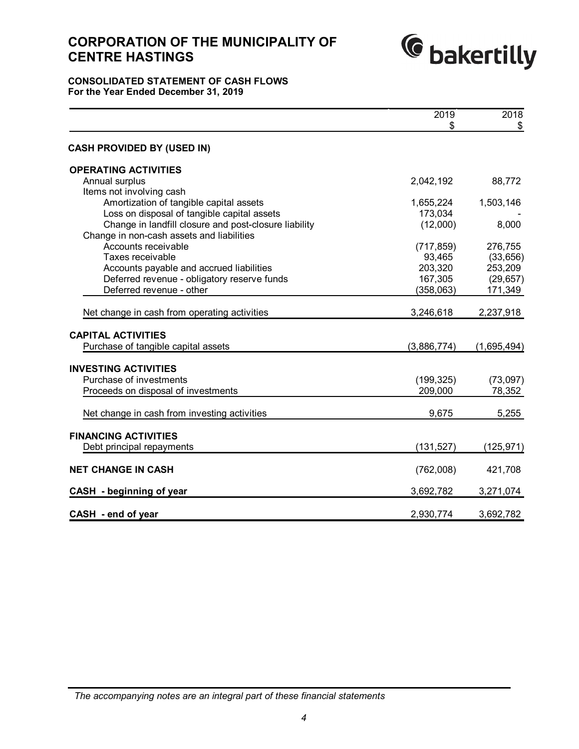

**CONSOLIDATED STATEMENT OF CASH FLOWS For the Year Ended December 31, 2019**

|                                                       | 2019        | 2018        |
|-------------------------------------------------------|-------------|-------------|
|                                                       | \$          | \$          |
| <b>CASH PROVIDED BY (USED IN)</b>                     |             |             |
| <b>OPERATING ACTIVITIES</b>                           |             |             |
| Annual surplus                                        | 2,042,192   | 88,772      |
| Items not involving cash                              |             |             |
| Amortization of tangible capital assets               | 1,655,224   | 1,503,146   |
| Loss on disposal of tangible capital assets           | 173,034     |             |
| Change in landfill closure and post-closure liability | (12,000)    | 8,000       |
| Change in non-cash assets and liabilities             |             |             |
| Accounts receivable                                   | (717, 859)  | 276,755     |
| Taxes receivable                                      | 93,465      | (33, 656)   |
| Accounts payable and accrued liabilities              | 203,320     | 253,209     |
| Deferred revenue - obligatory reserve funds           | 167,305     | (29, 657)   |
| Deferred revenue - other                              | (358,063)   | 171,349     |
|                                                       |             |             |
| Net change in cash from operating activities          | 3,246,618   | 2,237,918   |
| <b>CAPITAL ACTIVITIES</b>                             |             |             |
| Purchase of tangible capital assets                   | (3,886,774) | (1,695,494) |
|                                                       |             |             |
| <b>INVESTING ACTIVITIES</b>                           |             |             |
| Purchase of investments                               | (199, 325)  | (73,097)    |
| Proceeds on disposal of investments                   | 209,000     | 78,352      |
| Net change in cash from investing activities          | 9,675       | 5,255       |
|                                                       |             |             |
| <b>FINANCING ACTIVITIES</b>                           |             |             |
| Debt principal repayments                             | (131, 527)  | (125, 971)  |
|                                                       |             |             |
| <b>NET CHANGE IN CASH</b>                             | (762,008)   | 421,708     |
| CASH - beginning of year                              | 3,692,782   | 3,271,074   |
| CASH - end of year                                    | 2,930,774   | 3,692,782   |
|                                                       |             |             |

 *The accompanying notes are an integral part of these financial statements*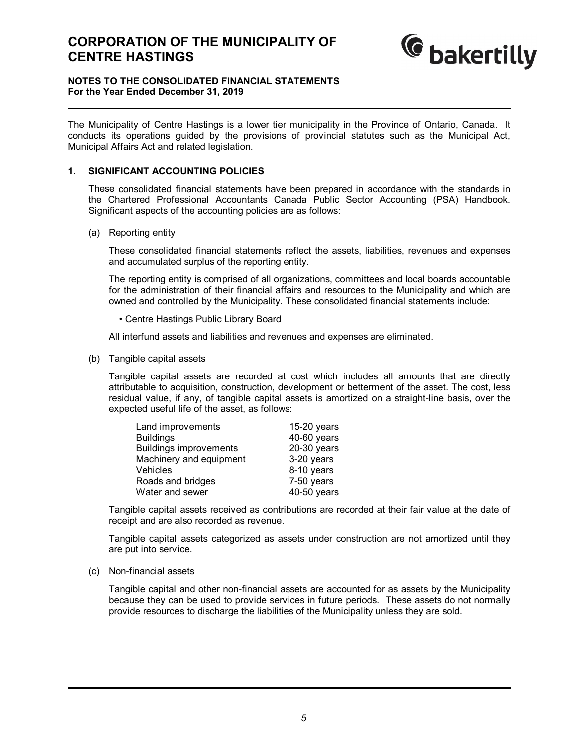

#### **NOTES TO THE CONSOLIDATED FINANCIAL STATEMENTS For the Year Ended December 31, 2019**

The Municipality of Centre Hastings is a lower tier municipality in the Province of Ontario, Canada. It conducts its operations guided by the provisions of provincial statutes such as the Municipal Act, Municipal Affairs Act and related legislation.

#### **1. SIGNIFICANT ACCOUNTING POLICIES**

These consolidated financial statements have been prepared in accordance with the standards in the Chartered Professional Accountants Canada Public Sector Accounting (PSA) Handbook. Significant aspects of the accounting policies are as follows:

(a) Reporting entity

These consolidated financial statements reflect the assets, liabilities, revenues and expenses and accumulated surplus of the reporting entity.

The reporting entity is comprised of all organizations, committees and local boards accountable for the administration of their financial affairs and resources to the Municipality and which are owned and controlled by the Municipality. These consolidated financial statements include:

• Centre Hastings Public Library Board

All interfund assets and liabilities and revenues and expenses are eliminated.

(b) Tangible capital assets

Tangible capital assets are recorded at cost which includes all amounts that are directly attributable to acquisition, construction, development or betterment of the asset. The cost, less residual value, if any, of tangible capital assets is amortized on a straight-line basis, over the expected useful life of the asset, as follows:

| Land improvements             | $15-20$ years |
|-------------------------------|---------------|
| <b>Buildings</b>              | 40-60 years   |
| <b>Buildings improvements</b> | $20-30$ years |
| Machinery and equipment       | 3-20 years    |
| Vehicles                      | 8-10 years    |
| Roads and bridges             | 7-50 years    |
| Water and sewer               | 40-50 years   |

Tangible capital assets received as contributions are recorded at their fair value at the date of receipt and are also recorded as revenue.

Tangible capital assets categorized as assets under construction are not amortized until they are put into service.

(c) Non-financial assets

Tangible capital and other non-financial assets are accounted for as assets by the Municipality because they can be used to provide services in future periods. These assets do not normally provide resources to discharge the liabilities of the Municipality unless they are sold.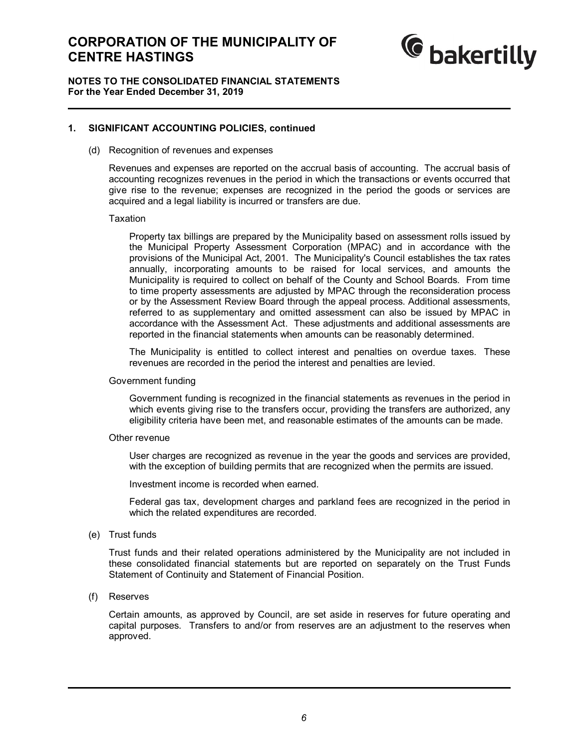

#### **NOTES TO THE CONSOLIDATED FINANCIAL STATEMENTS For the Year Ended December 31, 2019**

#### **1. SIGNIFICANT ACCOUNTING POLICIES, continued**

(d) Recognition of revenues and expenses

Revenues and expenses are reported on the accrual basis of accounting. The accrual basis of accounting recognizes revenues in the period in which the transactions or events occurred that give rise to the revenue; expenses are recognized in the period the goods or services are acquired and a legal liability is incurred or transfers are due.

#### **Taxation**

Property tax billings are prepared by the Municipality based on assessment rolls issued by the Municipal Property Assessment Corporation (MPAC) and in accordance with the provisions of the Municipal Act, 2001. The Municipality's Council establishes the tax rates annually, incorporating amounts to be raised for local services, and amounts the Municipality is required to collect on behalf of the County and School Boards. From time to time property assessments are adjusted by MPAC through the reconsideration process or by the Assessment Review Board through the appeal process. Additional assessments, referred to as supplementary and omitted assessment can also be issued by MPAC in accordance with the Assessment Act. These adjustments and additional assessments are reported in the financial statements when amounts can be reasonably determined.

The Municipality is entitled to collect interest and penalties on overdue taxes. These revenues are recorded in the period the interest and penalties are levied.

#### Government funding

Government funding is recognized in the financial statements as revenues in the period in which events giving rise to the transfers occur, providing the transfers are authorized, any eligibility criteria have been met, and reasonable estimates of the amounts can be made.

#### Other revenue

User charges are recognized as revenue in the year the goods and services are provided, with the exception of building permits that are recognized when the permits are issued.

Investment income is recorded when earned.

Federal gas tax, development charges and parkland fees are recognized in the period in which the related expenditures are recorded.

(e) Trust funds

Trust funds and their related operations administered by the Municipality are not included in these consolidated financial statements but are reported on separately on the Trust Funds Statement of Continuity and Statement of Financial Position.

(f) Reserves

Certain amounts, as approved by Council, are set aside in reserves for future operating and capital purposes. Transfers to and/or from reserves are an adjustment to the reserves when approved.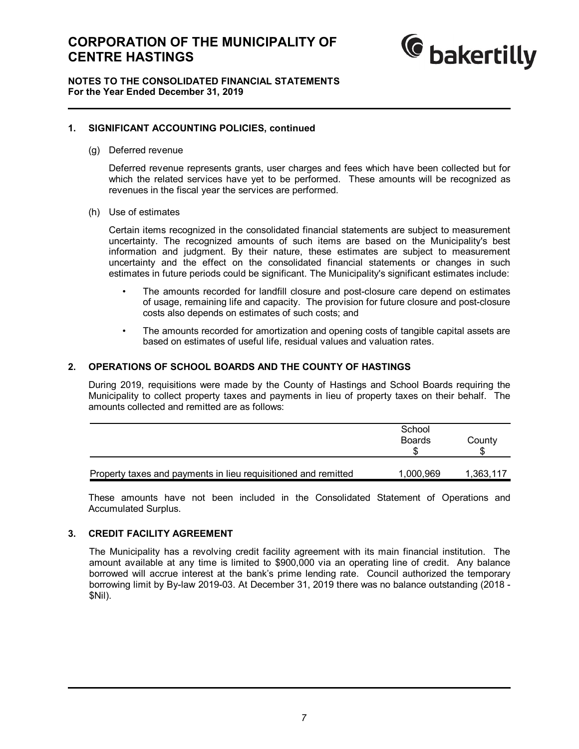

#### **NOTES TO THE CONSOLIDATED FINANCIAL STATEMENTS For the Year Ended December 31, 2019**

#### **1. SIGNIFICANT ACCOUNTING POLICIES, continued**

(g) Deferred revenue

Deferred revenue represents grants, user charges and fees which have been collected but for which the related services have yet to be performed. These amounts will be recognized as revenues in the fiscal year the services are performed.

(h) Use of estimates

Certain items recognized in the consolidated financial statements are subject to measurement uncertainty. The recognized amounts of such items are based on the Municipality's best information and judgment. By their nature, these estimates are subject to measurement uncertainty and the effect on the consolidated financial statements or changes in such estimates in future periods could be significant. The Municipality's significant estimates include:

- The amounts recorded for landfill closure and post-closure care depend on estimates of usage, remaining life and capacity. The provision for future closure and post-closure costs also depends on estimates of such costs; and
- The amounts recorded for amortization and opening costs of tangible capital assets are based on estimates of useful life, residual values and valuation rates.

#### **2. OPERATIONS OF SCHOOL BOARDS AND THE COUNTY OF HASTINGS**

During 2019, requisitions were made by the County of Hastings and School Boards requiring the Municipality to collect property taxes and payments in lieu of property taxes on their behalf. The amounts collected and remitted are as follows:

|                                                                | School<br><b>Boards</b> | County    |
|----------------------------------------------------------------|-------------------------|-----------|
| Property taxes and payments in lieu requisitioned and remitted | 1,000,969               | 1,363,117 |

These amounts have not been included in the Consolidated Statement of Operations and Accumulated Surplus.

#### **3. CREDIT FACILITY AGREEMENT**

The Municipality has a revolving credit facility agreement with its main financial institution. The amount available at any time is limited to \$900,000 via an operating line of credit. Any balance borrowed will accrue interest at the bank's prime lending rate. Council authorized the temporary borrowing limit by By-law 2019-03. At December 31, 2019 there was no balance outstanding (2018 - \$Nil).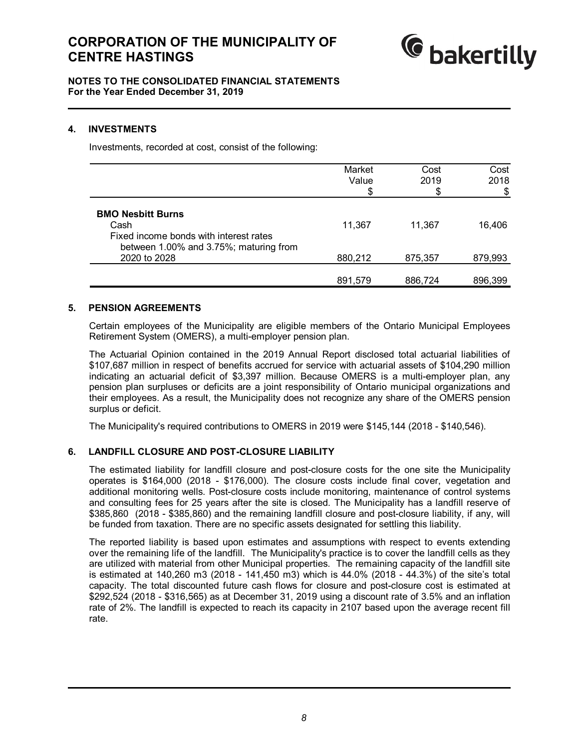

#### **NOTES TO THE CONSOLIDATED FINANCIAL STATEMENTS For the Year Ended December 31, 2019**

#### **4. INVESTMENTS**

Investments, recorded at cost, consist of the following:

|                                                                            | Market<br>Value | Cost<br>2019<br>\$ | Cost<br>2018<br>\$ |
|----------------------------------------------------------------------------|-----------------|--------------------|--------------------|
| <b>BMO Nesbitt Burns</b><br>Cash<br>Fixed income bonds with interest rates | 11,367          | 11,367             | 16,406             |
| between 1.00% and 3.75%; maturing from<br>2020 to 2028                     | 880,212         | 875,357            | 879,993            |
|                                                                            | 891,579         | 886,724            | 896,399            |

#### **5. PENSION AGREEMENTS**

Certain employees of the Municipality are eligible members of the Ontario Municipal Employees Retirement System (OMERS), a multi-employer pension plan.

The Actuarial Opinion contained in the 2019 Annual Report disclosed total actuarial liabilities of \$107,687 million in respect of benefits accrued for service with actuarial assets of \$104,290 million indicating an actuarial deficit of \$3,397 million. Because OMERS is a multi-employer plan, any pension plan surpluses or deficits are a joint responsibility of Ontario municipal organizations and their employees. As a result, the Municipality does not recognize any share of the OMERS pension surplus or deficit.

The Municipality's required contributions to OMERS in 2019 were \$145,144 (2018 - \$140,546).

### **6. LANDFILL CLOSURE AND POST-CLOSURE LIABILITY**

The estimated liability for landfill closure and post-closure costs for the one site the Municipality operates is \$164,000 (2018 - \$176,000). The closure costs include final cover, vegetation and additional monitoring wells. Post-closure costs include monitoring, maintenance of control systems and consulting fees for 25 years after the site is closed. The Municipality has a landfill reserve of \$385,860 (2018 - \$385,860) and the remaining landfill closure and post-closure liability, if any, will be funded from taxation. There are no specific assets designated for settling this liability.

The reported liability is based upon estimates and assumptions with respect to events extending over the remaining life of the landfill. The Municipality's practice is to cover the landfill cells as they are utilized with material from other Municipal properties. The remaining capacity of the landfill site is estimated at 140,260 m3 (2018 - 141,450 m3) which is 44.0% (2018 - 44.3%) of the site's total capacity. The total discounted future cash flows for closure and post-closure cost is estimated at \$292,524 (2018 - \$316,565) as at December 31, 2019 using a discount rate of 3.5% and an inflation rate of 2%. The landfill is expected to reach its capacity in 2107 based upon the average recent fill rate.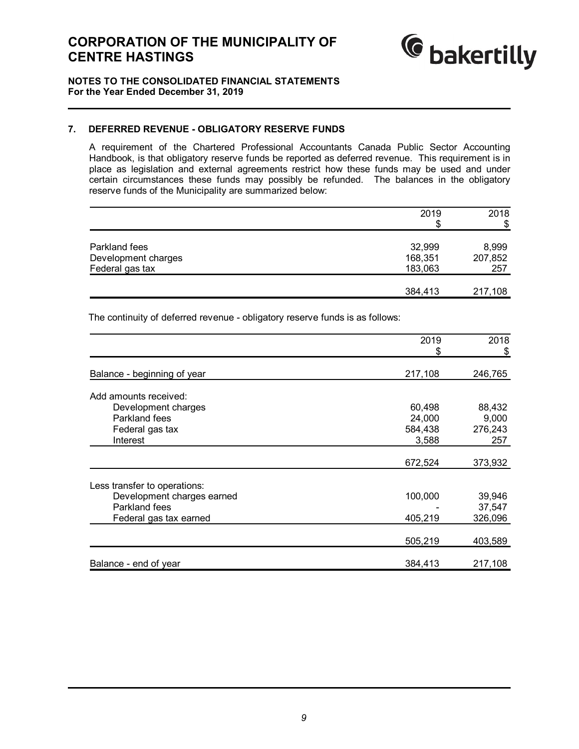

#### **NOTES TO THE CONSOLIDATED FINANCIAL STATEMENTS For the Year Ended December 31, 2019**

#### **7. DEFERRED REVENUE - OBLIGATORY RESERVE FUNDS**

A requirement of the Chartered Professional Accountants Canada Public Sector Accounting Handbook, is that obligatory reserve funds be reported as deferred revenue. This requirement is in place as legislation and external agreements restrict how these funds may be used and under certain circumstances these funds may possibly be refunded. The balances in the obligatory reserve funds of the Municipality are summarized below:

|                     | 2019    | 2018    |
|---------------------|---------|---------|
|                     | S       | \$      |
| Parkland fees       | 32,999  | 8,999   |
| Development charges | 168,351 | 207,852 |
| Federal gas tax     | 183,063 | 257     |
|                     |         |         |
|                     | 384,413 | 217,108 |

The continuity of deferred revenue - obligatory reserve funds is as follows:

|                              | 2019    | 2018    |
|------------------------------|---------|---------|
|                              | S       | \$      |
| Balance - beginning of year  | 217,108 | 246,765 |
| Add amounts received:        |         |         |
| Development charges          | 60,498  | 88,432  |
| Parkland fees                | 24,000  | 9,000   |
| Federal gas tax              | 584,438 | 276,243 |
| Interest                     | 3,588   | 257     |
|                              |         |         |
|                              | 672,524 | 373,932 |
| Less transfer to operations: |         |         |
| Development charges earned   | 100,000 | 39,946  |
| Parkland fees                |         | 37,547  |
| Federal gas tax earned       | 405,219 | 326,096 |
|                              |         |         |
|                              | 505,219 | 403,589 |
|                              |         |         |
| Balance - end of year        | 384,413 | 217,108 |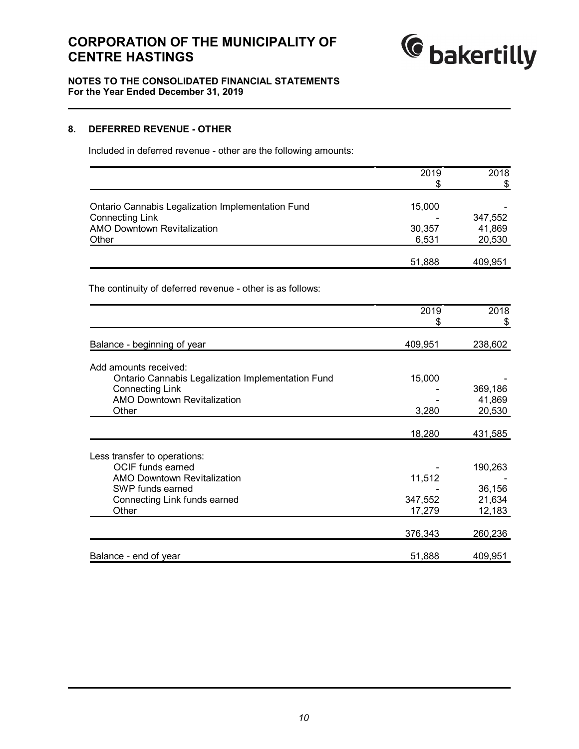

#### **NOTES TO THE CONSOLIDATED FINANCIAL STATEMENTS For the Year Ended December 31, 2019**

#### **8. DEFERRED REVENUE - OTHER**

Included in deferred revenue - other are the following amounts:

|                                                           | 2019    | 2018    |
|-----------------------------------------------------------|---------|---------|
|                                                           | \$      | \$      |
| Ontario Cannabis Legalization Implementation Fund         | 15,000  |         |
| <b>Connecting Link</b>                                    |         | 347,552 |
| <b>AMO Downtown Revitalization</b>                        | 30,357  | 41,869  |
| Other                                                     | 6,531   | 20,530  |
|                                                           | 51,888  | 409,951 |
| The continuity of deferred revenue - other is as follows: |         |         |
|                                                           | 2019    | 2018    |
|                                                           | \$      | \$      |
| Balance - beginning of year                               | 409,951 | 238,602 |
| Add amounts received:                                     |         |         |
| Ontario Cannabis Legalization Implementation Fund         | 15,000  |         |
| <b>Connecting Link</b>                                    |         | 369,186 |
| <b>AMO Downtown Revitalization</b>                        |         | 41,869  |
| Other                                                     | 3,280   | 20,530  |
|                                                           | 18,280  | 431,585 |
| Less transfer to operations:                              |         |         |
| OCIF funds earned                                         |         | 190,263 |
| <b>AMO Downtown Revitalization</b>                        | 11,512  |         |
| SWP funds earned                                          |         | 36,156  |
| Connecting Link funds earned                              | 347,552 | 21,634  |
| Other                                                     | 17,279  | 12,183  |
|                                                           | 376,343 | 260,236 |
| Balance - end of year                                     | 51,888  | 409,951 |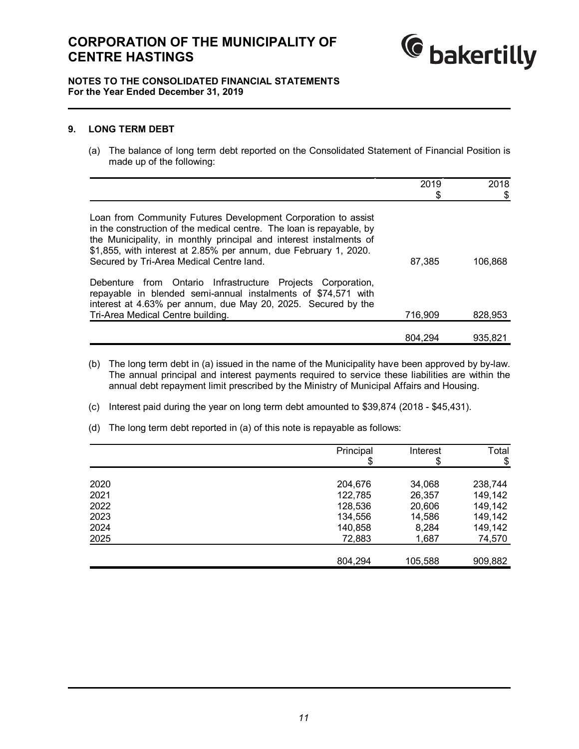

#### **NOTES TO THE CONSOLIDATED FINANCIAL STATEMENTS For the Year Ended December 31, 2019**

#### **9. LONG TERM DEBT**

(a) The balance of long term debt reported on the Consolidated Statement of Financial Position is made up of the following:

|                                                                                                                                                                                                                                                                                                                             | 2019<br>\$ | 2018<br>\$ |
|-----------------------------------------------------------------------------------------------------------------------------------------------------------------------------------------------------------------------------------------------------------------------------------------------------------------------------|------------|------------|
| Loan from Community Futures Development Corporation to assist<br>in the construction of the medical centre. The loan is repayable, by<br>the Municipality, in monthly principal and interest instalments of<br>\$1,855, with interest at 2.85% per annum, due February 1, 2020.<br>Secured by Tri-Area Medical Centre land. | 87.385     | 106.868    |
| Debenture from Ontario Infrastructure Projects Corporation,<br>repayable in blended semi-annual instalments of \$74,571 with<br>interest at 4.63% per annum, due May 20, 2025. Secured by the<br>Tri-Area Medical Centre building.                                                                                          | 716,909    | 828,953    |
|                                                                                                                                                                                                                                                                                                                             | 804.294    | 935.821    |

- (b) The long term debt in (a) issued in the name of the Municipality have been approved by by-law. The annual principal and interest payments required to service these liabilities are within the annual debt repayment limit prescribed by the Ministry of Municipal Affairs and Housing.
- (c) Interest paid during the year on long term debt amounted to \$39,874 (2018 \$45,431).
- (d) The long term debt reported in (a) of this note is repayable as follows:

|      | Principal | Interest | Total   |
|------|-----------|----------|---------|
|      | \$        | \$       | \$      |
| 2020 | 204,676   | 34,068   | 238,744 |
| 2021 | 122,785   | 26,357   | 149,142 |
| 2022 | 128,536   | 20,606   | 149,142 |
| 2023 | 134,556   | 14,586   | 149,142 |
| 2024 | 140,858   | 8,284    | 149,142 |
| 2025 | 72,883    | 1,687    | 74,570  |
|      |           |          |         |
|      | 804,294   | 105,588  | 909,882 |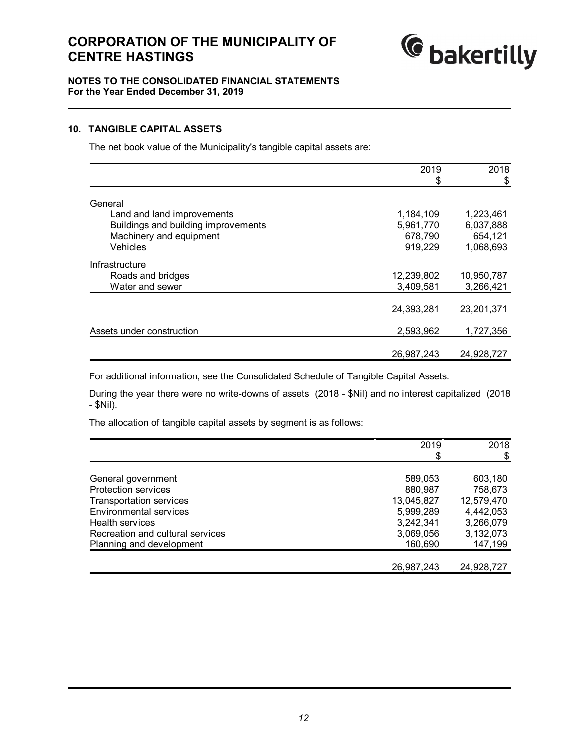

#### **NOTES TO THE CONSOLIDATED FINANCIAL STATEMENTS For the Year Ended December 31, 2019**

#### **10. TANGIBLE CAPITAL ASSETS**

The net book value of the Municipality's tangible capital assets are:

|                                     | 2019       | 2018       |
|-------------------------------------|------------|------------|
|                                     | S          | \$         |
| General                             |            |            |
| Land and land improvements          | 1,184,109  | 1,223,461  |
| Buildings and building improvements | 5,961,770  | 6,037,888  |
| Machinery and equipment             | 678,790    | 654,121    |
| Vehicles                            | 919,229    | 1,068,693  |
| Infrastructure                      |            |            |
| Roads and bridges                   | 12,239,802 | 10,950,787 |
| Water and sewer                     | 3,409,581  | 3,266,421  |
|                                     | 24,393,281 | 23,201,371 |
| Assets under construction           | 2,593,962  | 1,727,356  |
|                                     | 26,987,243 | 24.928.727 |

For additional information, see the Consolidated Schedule of Tangible Capital Assets.

During the year there were no write-downs of assets (2018 - \$Nil) and no interest capitalized (2018 - \$Nil).

The allocation of tangible capital assets by segment is as follows:

|                                  | 2019       | 2018       |
|----------------------------------|------------|------------|
|                                  | \$         | \$         |
|                                  |            |            |
| General government               | 589,053    | 603,180    |
| <b>Protection services</b>       | 880,987    | 758,673    |
| Transportation services          | 13,045,827 | 12,579,470 |
| <b>Environmental services</b>    | 5,999,289  | 4,442,053  |
| <b>Health services</b>           | 3,242,341  | 3,266,079  |
| Recreation and cultural services | 3,069,056  | 3,132,073  |
| Planning and development         | 160,690    | 147,199    |
|                                  |            |            |
|                                  | 26,987,243 | 24,928,727 |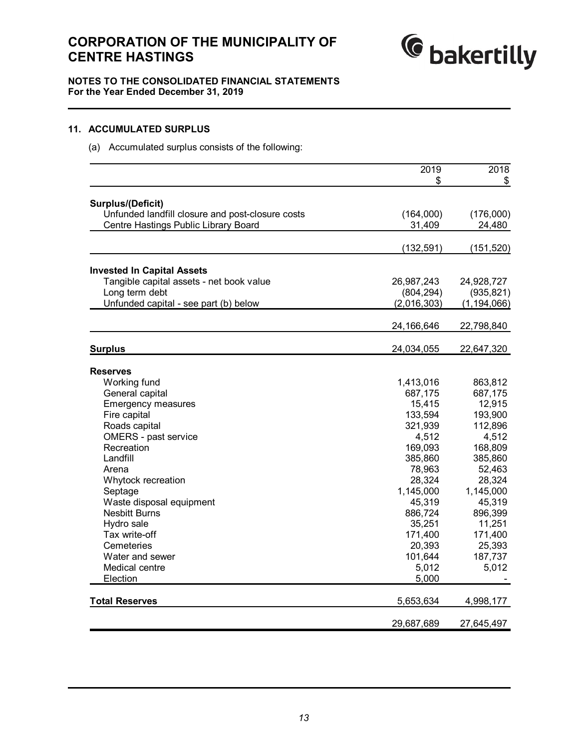

### **NOTES TO THE CONSOLIDATED FINANCIAL STATEMENTS For the Year Ended December 31, 2019**

#### **11. ACCUMULATED SURPLUS**

(a) Accumulated surplus consists of the following:

|                                                  | 2019        | 2018          |
|--------------------------------------------------|-------------|---------------|
|                                                  | \$          | \$            |
| <b>Surplus/(Deficit)</b>                         |             |               |
| Unfunded landfill closure and post-closure costs | (164,000)   | (176,000)     |
| Centre Hastings Public Library Board             | 31,409      | 24,480        |
|                                                  | (132, 591)  | (151, 520)    |
|                                                  |             |               |
| <b>Invested In Capital Assets</b>                |             |               |
| Tangible capital assets - net book value         | 26,987,243  | 24,928,727    |
| Long term debt                                   | (804, 294)  | (935, 821)    |
| Unfunded capital - see part (b) below            | (2,016,303) | (1, 194, 066) |
|                                                  | 24,166,646  | 22,798,840    |
| <b>Surplus</b>                                   | 24,034,055  | 22,647,320    |
|                                                  |             |               |
| <b>Reserves</b>                                  |             |               |
| Working fund                                     | 1,413,016   | 863,812       |
| General capital                                  | 687,175     | 687,175       |
| <b>Emergency measures</b>                        | 15,415      | 12,915        |
| Fire capital                                     | 133,594     | 193,900       |
| Roads capital                                    | 321,939     | 112,896       |
| OMERS - past service                             | 4,512       | 4,512         |
| Recreation                                       | 169,093     | 168,809       |
| Landfill                                         | 385,860     | 385,860       |
| Arena                                            | 78,963      | 52,463        |
| Whytock recreation                               | 28,324      | 28,324        |
| Septage                                          | 1,145,000   | 1,145,000     |
| Waste disposal equipment                         | 45,319      | 45,319        |
| <b>Nesbitt Burns</b>                             | 886,724     | 896,399       |
| Hydro sale                                       | 35,251      | 11,251        |
| Tax write-off                                    | 171,400     | 171,400       |
| Cemeteries                                       | 20,393      | 25,393        |
| Water and sewer                                  | 101,644     | 187,737       |
| Medical centre                                   | 5.012       | 5,012         |
| Election                                         | 5,000       |               |
| <b>Total Reserves</b>                            | 5,653,634   | 4,998,177     |
|                                                  | 29,687,689  | 27,645,497    |
|                                                  |             |               |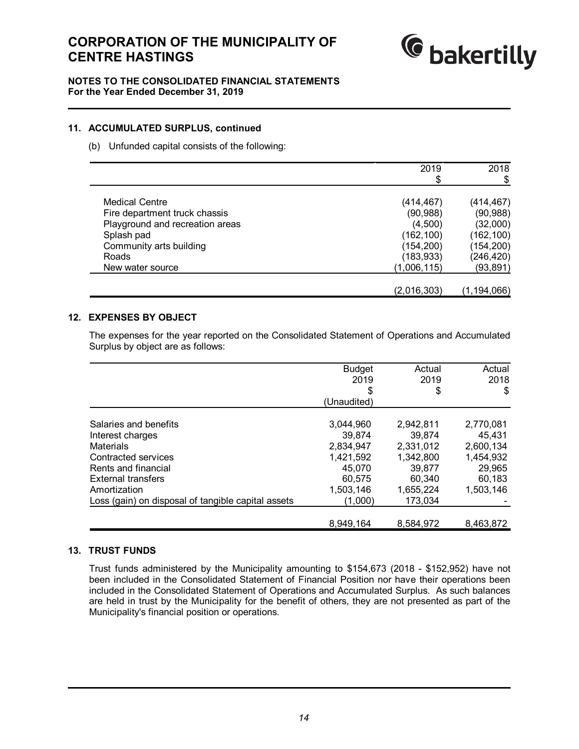

#### **NOTES TO THE CONSOLIDATED FINANCIAL STATEMENTS For the Year Ended December 31, 2019**

#### **11. ACCUMULATED SURPLUS, continued**

(b) Unfunded capital consists of the following:

|                                 | 2019        | 2018          |
|---------------------------------|-------------|---------------|
|                                 |             |               |
| <b>Medical Centre</b>           | (414, 467)  | (414, 467)    |
| Fire department truck chassis   | (90, 988)   | (90, 988)     |
| Playground and recreation areas | (4,500)     | (32,000)      |
| Splash pad                      | (162,100)   | (162, 100)    |
| Community arts building         | (154, 200)  | (154, 200)    |
| Roads                           | (183, 933)  | (246, 420)    |
| New water source                | (1,006,115) | (93, 891)     |
|                                 | (2,016,303) | (1, 194, 066) |

### **12. EXPENSES BY OBJECT**

The expenses for the year reported on the Consolidated Statement of Operations and Accumulated Surplus by object are as follows:

|                                                    | <b>Budget</b><br>2019 | Actual<br>2019 | Actual<br>2018 |
|----------------------------------------------------|-----------------------|----------------|----------------|
|                                                    | \$<br>(Unaudited)     | \$             | \$             |
| Salaries and benefits                              | 3,044,960             | 2,942,811      | 2,770,081      |
| Interest charges                                   | 39,874                | 39,874         | 45,431         |
| <b>Materials</b>                                   | 2,834,947             | 2,331,012      | 2,600,134      |
| Contracted services                                | 1,421,592             | 1,342,800      | 1,454,932      |
| Rents and financial                                | 45.070                | 39,877         | 29,965         |
| External transfers                                 | 60.575                | 60.340         | 60,183         |
| Amortization                                       | 1,503,146             | 1,655,224      | 1,503,146      |
| Loss (gain) on disposal of tangible capital assets | (1,000)               | 173,034        |                |
|                                                    |                       |                |                |
|                                                    | 8,949,164             | 8,584,972      | 8,463,872      |

### **13. TRUST FUNDS**

Trust funds administered by the Municipality amounting to \$154,673 (2018 - \$152,952) have not been included in the Consolidated Statement of Financial Position nor have their operations been included in the Consolidated Statement of Operations and Accumulated Surplus. As such balances are held in trust by the Municipality for the benefit of others, they are not presented as part of the Municipality's financial position or operations.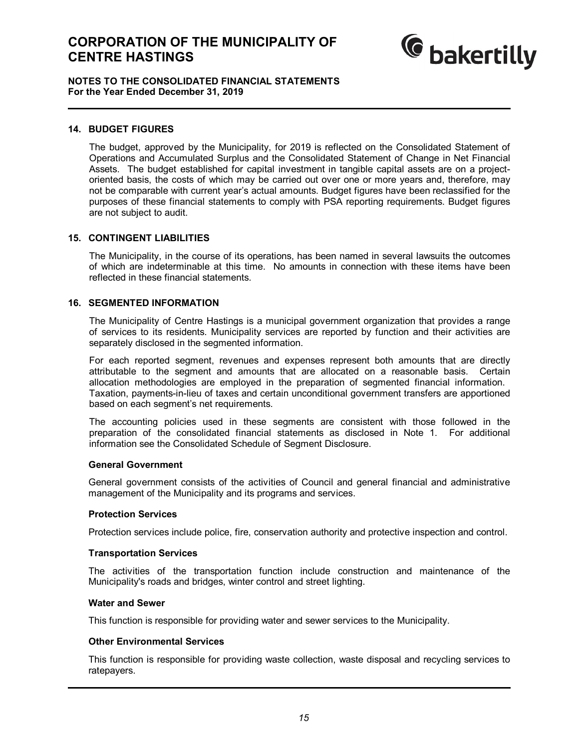

#### **NOTES TO THE CONSOLIDATED FINANCIAL STATEMENTS For the Year Ended December 31, 2019**

#### **14. BUDGET FIGURES**

The budget, approved by the Municipality, for 2019 is reflected on the Consolidated Statement of Operations and Accumulated Surplus and the Consolidated Statement of Change in Net Financial Assets. The budget established for capital investment in tangible capital assets are on a projectoriented basis, the costs of which may be carried out over one or more years and, therefore, may not be comparable with current year's actual amounts. Budget figures have been reclassified for the purposes of these financial statements to comply with PSA reporting requirements. Budget figures are not subject to audit.

#### **15. CONTINGENT LIABILITIES**

The Municipality, in the course of its operations, has been named in several lawsuits the outcomes of which are indeterminable at this time. No amounts in connection with these items have been reflected in these financial statements.

#### **16. SEGMENTED INFORMATION**

The Municipality of Centre Hastings is a municipal government organization that provides a range of services to its residents. Municipality services are reported by function and their activities are separately disclosed in the segmented information.

For each reported segment, revenues and expenses represent both amounts that are directly attributable to the segment and amounts that are allocated on a reasonable basis. Certain allocation methodologies are employed in the preparation of segmented financial information. Taxation, payments-in-lieu of taxes and certain unconditional government transfers are apportioned based on each segment's net requirements.

The accounting policies used in these segments are consistent with those followed in the preparation of the consolidated financial statements as disclosed in Note 1. For additional information see the Consolidated Schedule of Segment Disclosure.

#### **General Government**

General government consists of the activities of Council and general financial and administrative management of the Municipality and its programs and services.

#### **Protection Services**

Protection services include police, fire, conservation authority and protective inspection and control.

#### **Transportation Services**

The activities of the transportation function include construction and maintenance of the Municipality's roads and bridges, winter control and street lighting.

#### **Water and Sewer**

This function is responsible for providing water and sewer services to the Municipality.

#### **Other Environmental Services**

This function is responsible for providing waste collection, waste disposal and recycling services to ratepayers.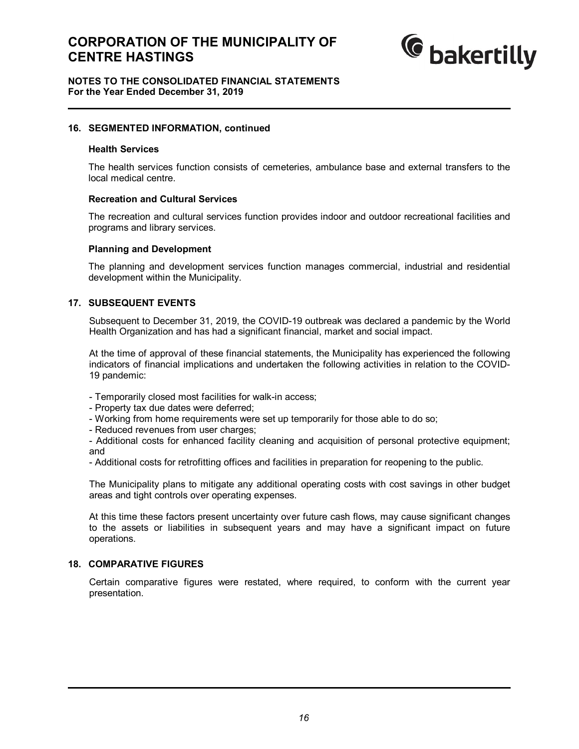

#### **NOTES TO THE CONSOLIDATED FINANCIAL STATEMENTS For the Year Ended December 31, 2019**

#### **16. SEGMENTED INFORMATION, continued**

#### **Health Services**

The health services function consists of cemeteries, ambulance base and external transfers to the local medical centre.

#### **Recreation and Cultural Services**

The recreation and cultural services function provides indoor and outdoor recreational facilities and programs and library services.

#### **Planning and Development**

The planning and development services function manages commercial, industrial and residential development within the Municipality.

#### **17. SUBSEQUENT EVENTS**

Subsequent to December 31, 2019, the COVID-19 outbreak was declared a pandemic by the World Health Organization and has had a significant financial, market and social impact.

At the time of approval of these financial statements, the Municipality has experienced the following indicators of financial implications and undertaken the following activities in relation to the COVID-19 pandemic:

- Temporarily closed most facilities for walk-in access;
- Property tax due dates were deferred;
- Working from home requirements were set up temporarily for those able to do so;
- Reduced revenues from user charges;

- Additional costs for enhanced facility cleaning and acquisition of personal protective equipment; and

- Additional costs for retrofitting offices and facilities in preparation for reopening to the public.

The Municipality plans to mitigate any additional operating costs with cost savings in other budget areas and tight controls over operating expenses.

At this time these factors present uncertainty over future cash flows, may cause significant changes to the assets or liabilities in subsequent years and may have a significant impact on future operations.

### **18. COMPARATIVE FIGURES**

Certain comparative figures were restated, where required, to conform with the current year presentation.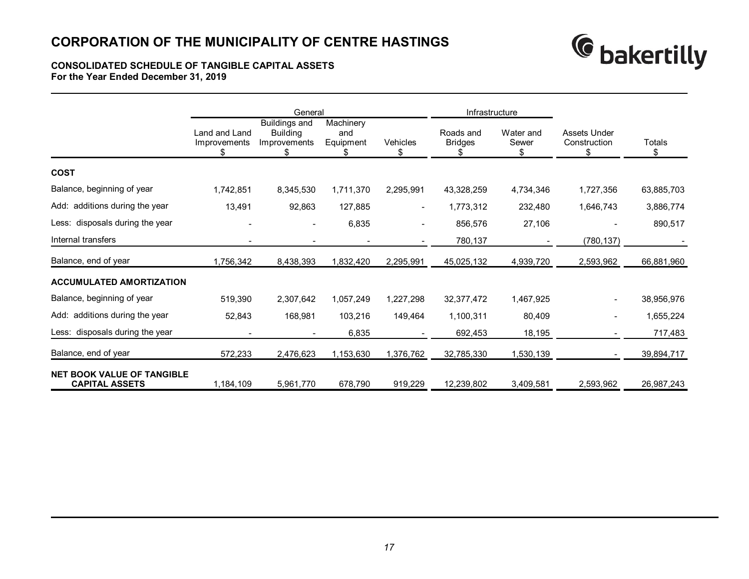

#### **CONSOLIDATED SCHEDULE OF TANGIBLE CAPITAL ASSETS For the Year Ended December 31, 2019**

|                                                            |                                     | General                                                 |                               |                          | Infrastructure              |                          |                                    |              |
|------------------------------------------------------------|-------------------------------------|---------------------------------------------------------|-------------------------------|--------------------------|-----------------------------|--------------------------|------------------------------------|--------------|
|                                                            | Land and Land<br>Improvements<br>S. | <b>Buildings and</b><br><b>Building</b><br>Improvements | Machinery<br>and<br>Equipment | Vehicles<br>\$           | Roads and<br><b>Bridges</b> | Water and<br>Sewer<br>\$ | Assets Under<br>Construction<br>\$ | Totals<br>\$ |
| <b>COST</b>                                                |                                     |                                                         |                               |                          |                             |                          |                                    |              |
| Balance, beginning of year                                 | 1,742,851                           | 8,345,530                                               | 1,711,370                     | 2,295,991                | 43,328,259                  | 4,734,346                | 1,727,356                          | 63,885,703   |
| Add: additions during the year                             | 13,491                              | 92,863                                                  | 127,885                       | $\blacksquare$           | 1,773,312                   | 232,480                  | 1,646,743                          | 3,886,774    |
| Less: disposals during the year                            |                                     |                                                         | 6,835                         | $\overline{\phantom{0}}$ | 856,576                     | 27,106                   |                                    | 890,517      |
| Internal transfers                                         |                                     |                                                         |                               |                          | 780,137                     |                          | (780, 137)                         |              |
| Balance, end of year                                       | 1,756,342                           | 8,438,393                                               | 1,832,420                     | 2,295,991                | 45,025,132                  | 4,939,720                | 2,593,962                          | 66,881,960   |
| <b>ACCUMULATED AMORTIZATION</b>                            |                                     |                                                         |                               |                          |                             |                          |                                    |              |
| Balance, beginning of year                                 | 519,390                             | 2,307,642                                               | 1,057,249                     | 1,227,298                | 32,377,472                  | 1,467,925                | $\blacksquare$                     | 38,956,976   |
| Add: additions during the year                             | 52,843                              | 168,981                                                 | 103,216                       | 149,464                  | 1,100,311                   | 80,409                   | $\overline{\phantom{a}}$           | 1,655,224    |
| Less: disposals during the year                            |                                     |                                                         | 6,835                         |                          | 692,453                     | 18,195                   |                                    | 717,483      |
| Balance, end of year                                       | 572,233                             | 2,476,623                                               | 1,153,630                     | 1,376,762                | 32,785,330                  | 1,530,139                |                                    | 39,894,717   |
| <b>NET BOOK VALUE OF TANGIBLE</b><br><b>CAPITAL ASSETS</b> | 1,184,109                           | 5,961,770                                               | 678,790                       | 919,229                  | 12,239,802                  | 3,409,581                | 2,593,962                          | 26,987,243   |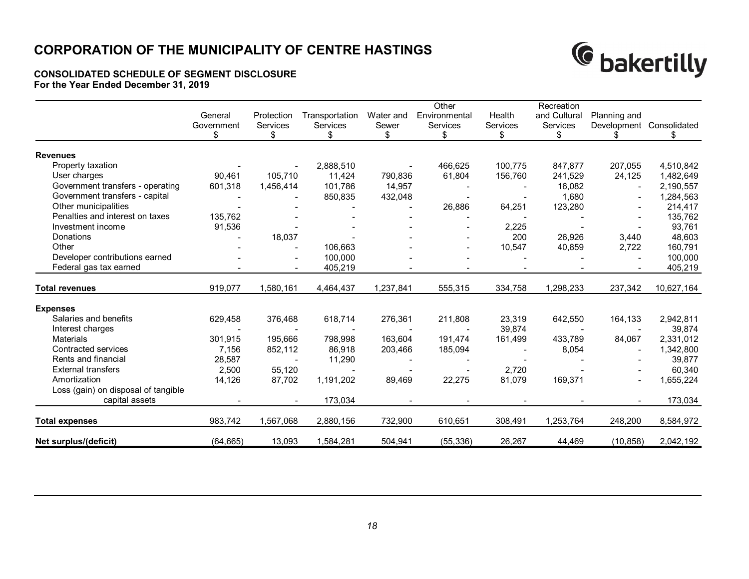

#### **CONSOLIDATED SCHEDULE OF SEGMENT DISCLOSURE For the Year Ended December 31, 2019**

|                                     | General<br>Government<br>\$ | Protection<br>Services<br>\$ | Transportation<br>Services<br>\$ | Water and<br>Sewer<br>\$ | Other<br>Environmental<br>Services<br>\$ | Health<br>Services<br>\$ | Recreation<br>and Cultural<br>Services<br>\$ | Planning and<br>\$ | Development Consolidated<br>\$ |
|-------------------------------------|-----------------------------|------------------------------|----------------------------------|--------------------------|------------------------------------------|--------------------------|----------------------------------------------|--------------------|--------------------------------|
| <b>Revenues</b>                     |                             |                              |                                  |                          |                                          |                          |                                              |                    |                                |
| Property taxation                   |                             | $\overline{\phantom{a}}$     | 2,888,510                        | $\sim$                   | 466,625                                  | 100,775                  | 847,877                                      | 207,055            | 4,510,842                      |
| User charges                        | 90,461                      | 105,710                      | 11,424                           | 790,836                  | 61,804                                   | 156,760                  | 241,529                                      | 24,125             | 1,482,649                      |
| Government transfers - operating    | 601,318                     | 1,456,414                    | 101,786                          | 14,957                   |                                          |                          | 16,082                                       |                    | 2,190,557                      |
| Government transfers - capital      |                             |                              | 850,835                          | 432,048                  |                                          |                          | 1,680                                        |                    | 1,284,563                      |
| Other municipalities                |                             |                              |                                  |                          | 26,886                                   | 64,251                   | 123,280                                      |                    | 214,417                        |
| Penalties and interest on taxes     | 135.762                     |                              |                                  |                          |                                          |                          |                                              |                    | 135,762                        |
| Investment income                   | 91,536                      |                              |                                  |                          |                                          | 2,225                    |                                              |                    | 93,761                         |
| Donations                           |                             | 18,037                       |                                  |                          |                                          | 200                      | 26,926                                       | 3,440              | 48,603                         |
| Other                               |                             | $\overline{\phantom{a}}$     | 106,663                          |                          |                                          | 10,547                   | 40,859                                       | 2,722              | 160,791                        |
| Developer contributions earned      |                             | $\blacksquare$               | 100.000                          |                          |                                          |                          |                                              |                    | 100,000                        |
| Federal gas tax earned              |                             |                              | 405,219                          |                          |                                          |                          |                                              |                    | 405,219                        |
| <b>Total revenues</b>               | 919,077                     | 1,580,161                    | 4,464,437                        | 1,237,841                | 555,315                                  | 334,758                  | 1,298,233                                    | 237,342            | 10,627,164                     |
| <b>Expenses</b>                     |                             |                              |                                  |                          |                                          |                          |                                              |                    |                                |
| Salaries and benefits               | 629,458                     | 376,468                      | 618,714                          | 276,361                  | 211,808                                  | 23,319                   | 642,550                                      | 164,133            | 2,942,811                      |
| Interest charges                    | $\overline{\phantom{a}}$    |                              |                                  |                          | $\overline{\phantom{a}}$                 | 39,874                   |                                              |                    | 39,874                         |
| <b>Materials</b>                    | 301,915                     | 195,666                      | 798,998                          | 163,604                  | 191.474                                  | 161,499                  | 433,789                                      | 84,067             | 2,331,012                      |
| Contracted services                 | 7,156                       | 852,112                      | 86,918                           | 203,466                  | 185,094                                  |                          | 8,054                                        |                    | 1,342,800                      |
| Rents and financial                 | 28,587                      |                              | 11,290                           |                          |                                          |                          |                                              |                    | 39,877                         |
| <b>External transfers</b>           | 2,500                       | 55,120                       |                                  |                          |                                          | 2,720                    |                                              |                    | 60,340                         |
| Amortization                        | 14,126                      | 87,702                       | 1,191,202                        | 89,469                   | 22,275                                   | 81,079                   | 169,371                                      |                    | 1,655,224                      |
| Loss (gain) on disposal of tangible |                             |                              |                                  |                          |                                          |                          |                                              |                    |                                |
| capital assets                      |                             |                              | 173,034                          |                          |                                          |                          |                                              |                    | 173,034                        |
| <b>Total expenses</b>               | 983,742                     | 1,567,068                    | 2,880,156                        | 732,900                  | 610,651                                  | 308,491                  | 1,253,764                                    | 248,200            | 8,584,972                      |
| Net surplus/(deficit)               | (64, 665)                   | 13,093                       | 1,584,281                        | 504,941                  | (55, 336)                                | 26,267                   | 44,469                                       | (10, 858)          | 2,042,192                      |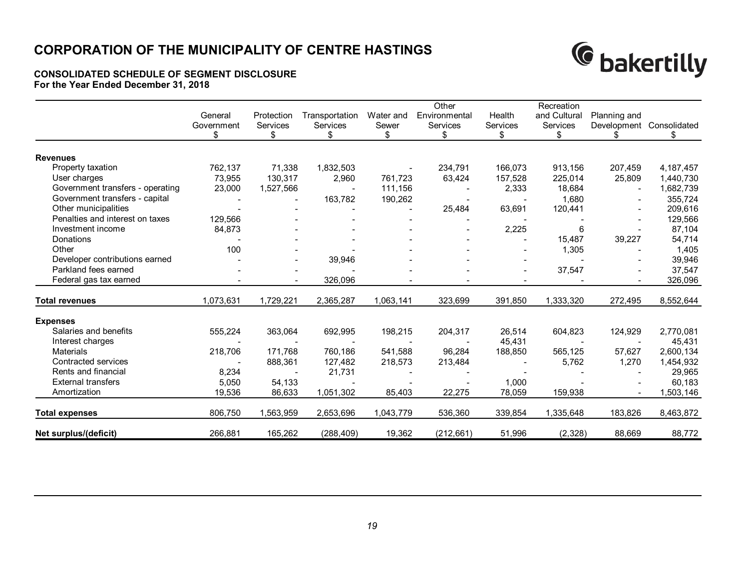

#### **CONSOLIDATED SCHEDULE OF SEGMENT DISCLOSURE For the Year Ended December 31, 2018**

|                                                         | General<br>Government<br>\$ | Protection<br>Services<br>\$ | Transportation<br><b>Services</b><br>\$ | Water and<br>Sewer<br>\$ | Other<br>Environmental<br>Services<br>\$ | Health<br>Services<br>\$ | Recreation<br>and Cultural<br><b>Services</b><br>\$ | Planning and<br>\$ | Development Consolidated<br>\$ |
|---------------------------------------------------------|-----------------------------|------------------------------|-----------------------------------------|--------------------------|------------------------------------------|--------------------------|-----------------------------------------------------|--------------------|--------------------------------|
|                                                         |                             |                              |                                         |                          |                                          |                          |                                                     |                    |                                |
| <b>Revenues</b><br>Property taxation                    | 762,137                     | 71,338                       | 1,832,503                               |                          | 234,791                                  | 166,073                  | 913,156                                             | 207,459            | 4,187,457                      |
|                                                         |                             | 130,317                      |                                         |                          |                                          |                          |                                                     |                    | 1,440,730                      |
| User charges<br>Government transfers - operating        | 73,955                      |                              | 2,960                                   | 761,723                  | 63,424                                   | 157,528                  | 225,014<br>18,684                                   | 25,809             |                                |
|                                                         | 23,000                      | 1,527,566                    |                                         | 111,156                  |                                          | 2,333                    |                                                     |                    | 1,682,739                      |
| Government transfers - capital                          |                             |                              | 163,782                                 | 190,262                  | $\blacksquare$                           |                          | 1,680                                               |                    | 355,724                        |
| Other municipalities<br>Penalties and interest on taxes |                             |                              |                                         |                          | 25,484                                   | 63,691                   | 120,441                                             |                    | 209,616                        |
|                                                         | 129,566                     |                              |                                         |                          |                                          |                          |                                                     |                    | 129,566                        |
| Investment income                                       | 84,873                      |                              |                                         |                          |                                          | 2,225                    | 6                                                   |                    | 87,104                         |
| Donations                                               |                             |                              |                                         |                          |                                          |                          | 15,487                                              | 39,227             | 54,714                         |
| Other                                                   | 100                         |                              |                                         |                          |                                          |                          | 1,305                                               |                    | 1,405                          |
| Developer contributions earned                          |                             |                              | 39,946                                  |                          |                                          |                          |                                                     |                    | 39,946                         |
| Parkland fees earned                                    |                             |                              |                                         |                          |                                          |                          | 37,547                                              |                    | 37,547                         |
| Federal gas tax earned                                  |                             |                              | 326,096                                 |                          |                                          |                          |                                                     |                    | 326,096                        |
| <b>Total revenues</b>                                   | 1,073,631                   | 1,729,221                    | 2,365,287                               | 1,063,141                | 323,699                                  | 391,850                  | 1,333,320                                           | 272,495            | 8,552,644                      |
| <b>Expenses</b>                                         |                             |                              |                                         |                          |                                          |                          |                                                     |                    |                                |
| Salaries and benefits                                   | 555,224                     | 363,064                      | 692,995                                 | 198,215                  | 204,317                                  | 26,514                   | 604,823                                             | 124,929            | 2,770,081                      |
| Interest charges                                        |                             |                              |                                         |                          |                                          | 45,431                   | $\blacksquare$                                      |                    | 45,431                         |
| Materials                                               | 218,706                     | 171.768                      | 760,186                                 | 541,588                  | 96,284                                   | 188,850                  | 565,125                                             | 57.627             | 2,600,134                      |
| Contracted services                                     |                             | 888,361                      | 127,482                                 | 218,573                  | 213,484                                  |                          | 5,762                                               | 1,270              | 1,454,932                      |
| Rents and financial                                     | 8,234                       |                              | 21,731                                  |                          |                                          |                          |                                                     |                    | 29,965                         |
| <b>External transfers</b>                               | 5,050                       | 54,133                       |                                         |                          |                                          | 1,000                    |                                                     |                    | 60,183                         |
| Amortization                                            | 19,536                      | 86,633                       | 1,051,302                               | 85,403                   | 22,275                                   | 78,059                   | 159,938                                             |                    | 1,503,146                      |
| <b>Total expenses</b>                                   | 806,750                     | 1,563,959                    | 2,653,696                               | 1,043,779                | 536,360                                  | 339,854                  | 1,335,648                                           | 183,826            | 8,463,872                      |
| Net surplus/(deficit)                                   | 266,881                     | 165,262                      | (288, 409)                              | 19,362                   | (212, 661)                               | 51,996                   | (2,328)                                             | 88,669             | 88,772                         |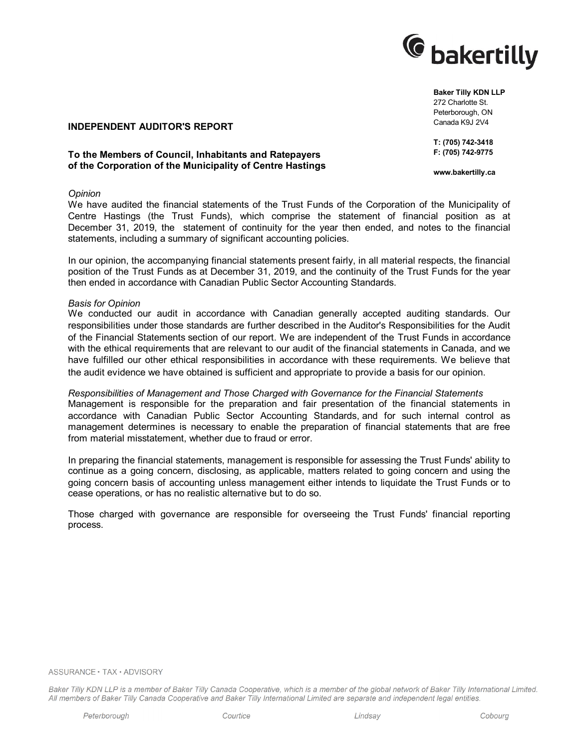

### **Baker Tilly KDN LLP**

272 Charlotte St. Peterborough, ON Canada K9J 2V4

**T: (705) 742-3418 F: (705) 742-9775**

**www.bakertilly.ca**

### **INDEPENDENT AUDITOR'S REPORT**

#### **To the Members of Council, Inhabitants and Ratepayers of the Corporation of the Municipality of Centre Hastings**

#### *Opinion*

We have audited the financial statements of the Trust Funds of the Corporation of the Municipality of Centre Hastings (the Trust Funds), which comprise the statement of financial position as at December 31, 2019, the statement of continuity for the year then ended, and notes to the financial statements, including a summary of significant accounting policies.

In our opinion, the accompanying financial statements present fairly, in all material respects, the financial position of the Trust Funds as at December 31, 2019, and the continuity of the Trust Funds for the year then ended in accordance with Canadian Public Sector Accounting Standards.

#### *Basis for Opinion*

We conducted our audit in accordance with Canadian generally accepted auditing standards. Our responsibilities under those standards are further described in the Auditor's Responsibilities for the Audit of the Financial Statements section of our report. We are independent of the Trust Funds in accordance with the ethical requirements that are relevant to our audit of the financial statements in Canada, and we have fulfilled our other ethical responsibilities in accordance with these requirements. We believe that the audit evidence we have obtained is sufficient and appropriate to provide a basis for our opinion.

*Responsibilities of Management and Those Charged with Governance for the Financial Statements* Management is responsible for the preparation and fair presentation of the financial statements in

accordance with Canadian Public Sector Accounting Standards, and for such internal control as management determines is necessary to enable the preparation of financial statements that are free from material misstatement, whether due to fraud or error.

In preparing the financial statements, management is responsible for assessing the Trust Funds' ability to continue as a going concern, disclosing, as applicable, matters related to going concern and using the going concern basis of accounting unless management either intends to liquidate the Trust Funds or to cease operations, or has no realistic alternative but to do so.

Those charged with governance are responsible for overseeing the Trust Funds' financial reporting process.

#### ASSURANCE · TAX · ADVISORY

Baker Tilly KDN LLP is a member of Baker Tilly Canada Cooperative, which is a member of the global network of Baker Tilly International Limited. All members of Baker Tilly Canada Cooperative and Baker Tilly International Limited are separate and independent legal entities.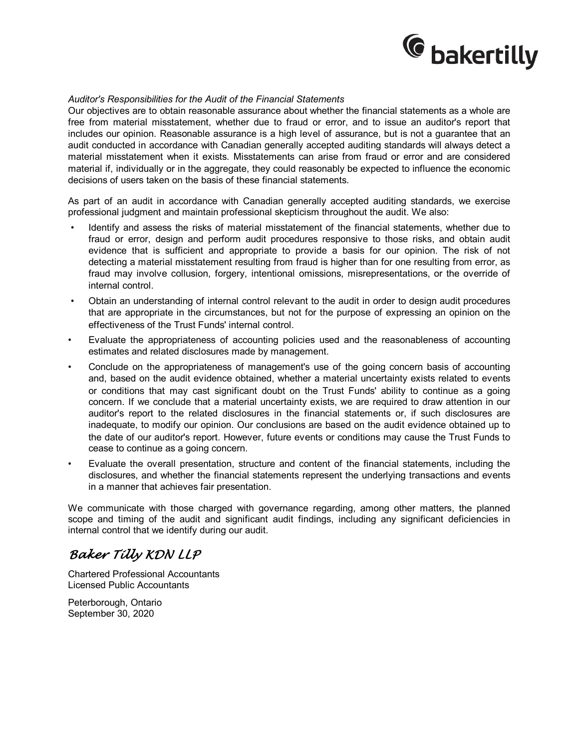

#### *Auditor's Responsibilities for the Audit of the Financial Statements*

Our objectives are to obtain reasonable assurance about whether the financial statements as a whole are free from material misstatement, whether due to fraud or error, and to issue an auditor's report that includes our opinion. Reasonable assurance is a high level of assurance, but is not a guarantee that an audit conducted in accordance with Canadian generally accepted auditing standards will always detect a material misstatement when it exists. Misstatements can arise from fraud or error and are considered material if, individually or in the aggregate, they could reasonably be expected to influence the economic decisions of users taken on the basis of these financial statements.

As part of an audit in accordance with Canadian generally accepted auditing standards, we exercise professional judgment and maintain professional skepticism throughout the audit. We also:

- Identify and assess the risks of material misstatement of the financial statements, whether due to fraud or error, design and perform audit procedures responsive to those risks, and obtain audit evidence that is sufficient and appropriate to provide a basis for our opinion. The risk of not detecting a material misstatement resulting from fraud is higher than for one resulting from error, as fraud may involve collusion, forgery, intentional omissions, misrepresentations, or the override of internal control.
- Obtain an understanding of internal control relevant to the audit in order to design audit procedures that are appropriate in the circumstances, but not for the purpose of expressing an opinion on the effectiveness of the Trust Funds' internal control.
- Evaluate the appropriateness of accounting policies used and the reasonableness of accounting estimates and related disclosures made by management.
- Conclude on the appropriateness of management's use of the going concern basis of accounting and, based on the audit evidence obtained, whether a material uncertainty exists related to events or conditions that may cast significant doubt on the Trust Funds' ability to continue as a going concern. If we conclude that a material uncertainty exists, we are required to draw attention in our auditor's report to the related disclosures in the financial statements or, if such disclosures are inadequate, to modify our opinion. Our conclusions are based on the audit evidence obtained up to the date of our auditor's report. However, future events or conditions may cause the Trust Funds to cease to continue as a going concern.
- Evaluate the overall presentation, structure and content of the financial statements, including the disclosures, and whether the financial statements represent the underlying transactions and events in a manner that achieves fair presentation.

We communicate with those charged with governance regarding, among other matters, the planned scope and timing of the audit and significant audit findings, including any significant deficiencies in internal control that we identify during our audit.

# *Baker Tilly KDN LLP*

Chartered Professional Accountants Licensed Public Accountants

Peterborough, Ontario September 30, 2020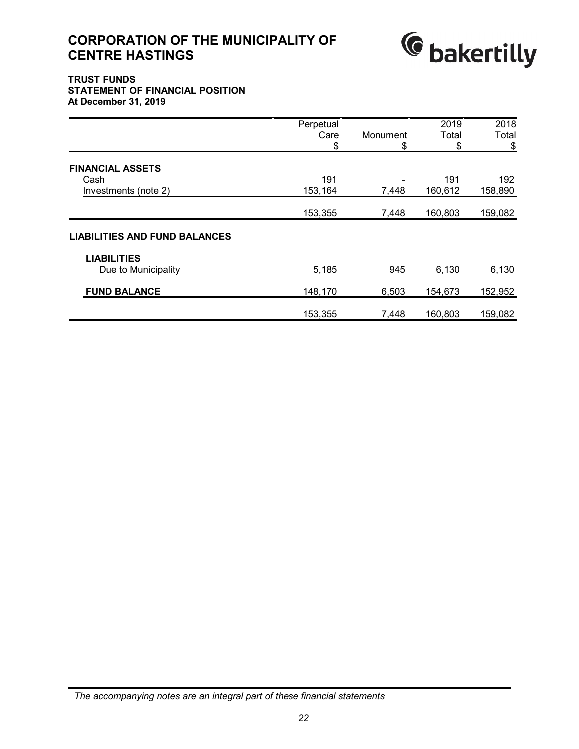

### **TRUST FUNDS STATEMENT OF FINANCIAL POSITION At December 31, 2019**

|                                      | Perpetual |          | 2019    | 2018    |
|--------------------------------------|-----------|----------|---------|---------|
|                                      | Care      | Monument | Total   | Total   |
|                                      | \$        | \$       | \$      | \$      |
| <b>FINANCIAL ASSETS</b>              |           |          |         |         |
| Cash                                 | 191       |          | 191     | 192     |
| Investments (note 2)                 | 153,164   | 7,448    | 160,612 | 158,890 |
|                                      |           |          |         |         |
|                                      | 153,355   | 7,448    | 160,803 | 159,082 |
| <b>LIABILITIES AND FUND BALANCES</b> |           |          |         |         |
| <b>LIABILITIES</b>                   |           |          |         |         |
| Due to Municipality                  | 5,185     | 945      | 6,130   | 6,130   |
| <b>FUND BALANCE</b>                  | 148,170   | 6,503    | 154,673 | 152,952 |
|                                      | 153,355   | 7,448    | 160,803 | 159,082 |

*The accompanying notes are an integral part of these financial statements*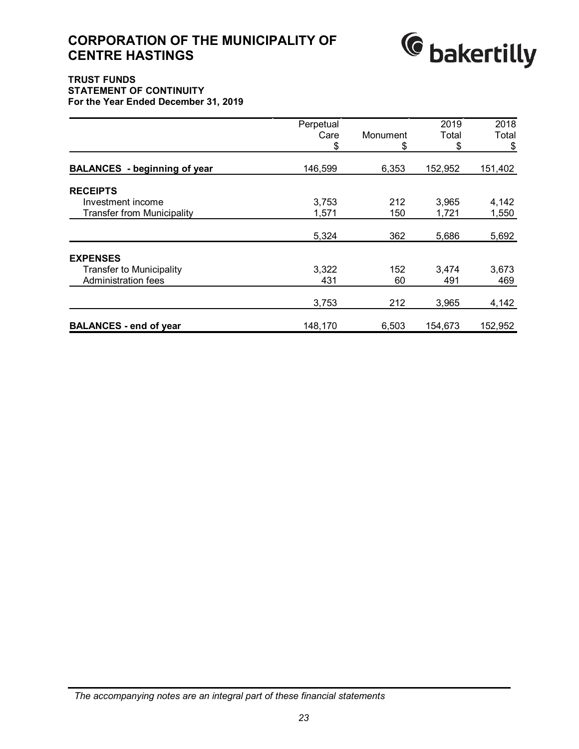

#### **TRUST FUNDS STATEMENT OF CONTINUITY For the Year Ended December 31, 2019**

|                                     | Perpetual |          | 2019    | 2018    |
|-------------------------------------|-----------|----------|---------|---------|
|                                     | Care      | Monument | Total   | Total   |
|                                     | \$        | \$       | \$      | \$      |
| <b>BALANCES</b> - beginning of year | 146,599   | 6,353    | 152,952 | 151,402 |
| <b>RECEIPTS</b>                     |           |          |         |         |
| Investment income                   | 3,753     | 212      | 3,965   | 4,142   |
| <b>Transfer from Municipality</b>   | 1,571     | 150      | 1,721   | 1,550   |
|                                     | 5,324     | 362      | 5,686   | 5,692   |
| <b>EXPENSES</b>                     |           |          |         |         |
| <b>Transfer to Municipality</b>     | 3,322     | 152      | 3.474   | 3,673   |
| <b>Administration fees</b>          | 431       | 60       | 491     | 469     |
|                                     | 3,753     | 212      | 3,965   | 4,142   |
| <b>BALANCES</b> - end of year       | 148,170   | 6,503    | 154,673 | 152,952 |

*The accompanying notes are an integral part of these financial statements*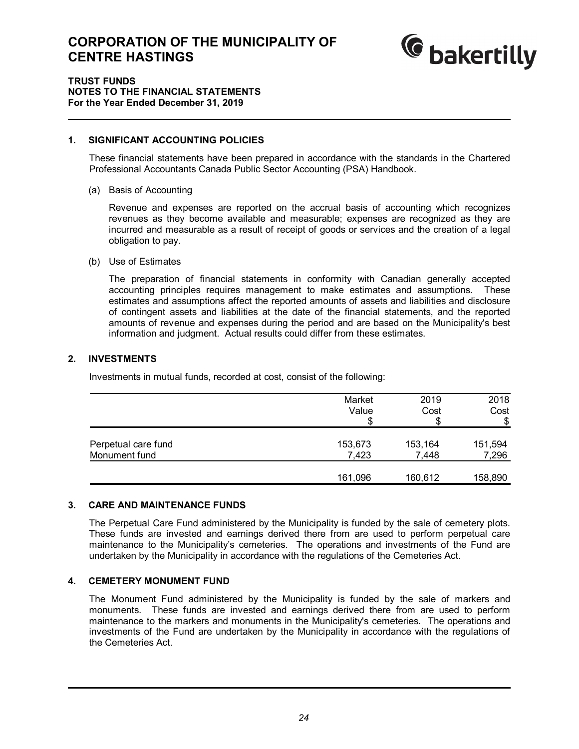

#### **TRUST FUNDS NOTES TO THE FINANCIAL STATEMENTS For the Year Ended December 31, 2019**

#### **1. SIGNIFICANT ACCOUNTING POLICIES**

These financial statements have been prepared in accordance with the standards in the Chartered Professional Accountants Canada Public Sector Accounting (PSA) Handbook.

(a) Basis of Accounting

Revenue and expenses are reported on the accrual basis of accounting which recognizes revenues as they become available and measurable; expenses are recognized as they are incurred and measurable as a result of receipt of goods or services and the creation of a legal obligation to pay.

(b) Use of Estimates

The preparation of financial statements in conformity with Canadian generally accepted accounting principles requires management to make estimates and assumptions. These estimates and assumptions affect the reported amounts of assets and liabilities and disclosure of contingent assets and liabilities at the date of the financial statements, and the reported amounts of revenue and expenses during the period and are based on the Municipality's best information and judgment. Actual results could differ from these estimates.

### **2. INVESTMENTS**

Investments in mutual funds, recorded at cost, consist of the following:

|                     | Market<br>Value  | 2019<br>Cost     | 2018<br>Cost<br>\$. |
|---------------------|------------------|------------------|---------------------|
| Perpetual care fund | 153,673          | 153,164          | 151,594             |
| Monument fund       | 7,423<br>161,096 | 7,448<br>160,612 | 7,296<br>158,890    |

### **3. CARE AND MAINTENANCE FUNDS**

The Perpetual Care Fund administered by the Municipality is funded by the sale of cemetery plots. These funds are invested and earnings derived there from are used to perform perpetual care maintenance to the Municipality's cemeteries. The operations and investments of the Fund are undertaken by the Municipality in accordance with the regulations of the Cemeteries Act.

### **4. CEMETERY MONUMENT FUND**

The Monument Fund administered by the Municipality is funded by the sale of markers and monuments. These funds are invested and earnings derived there from are used to perform maintenance to the markers and monuments in the Municipality's cemeteries. The operations and investments of the Fund are undertaken by the Municipality in accordance with the regulations of the Cemeteries Act.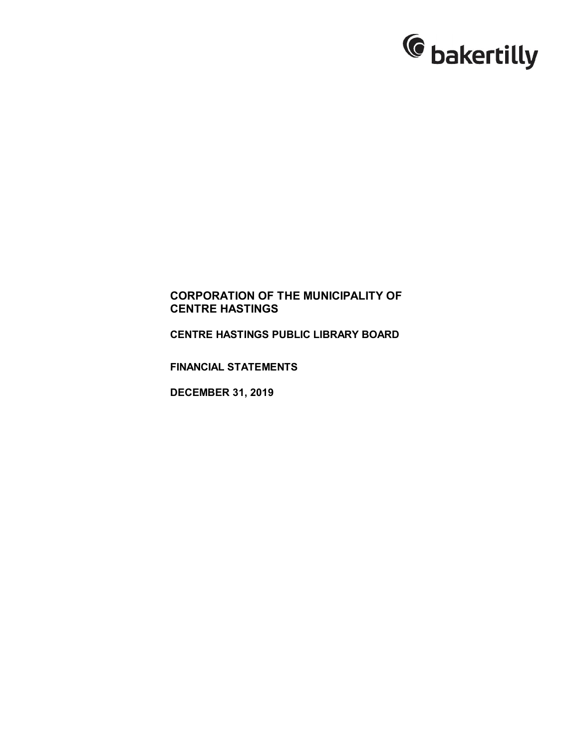

**CENTRE HASTINGS PUBLIC LIBRARY BOARD**

**FINANCIAL STATEMENTS**

**DECEMBER 31, 2019**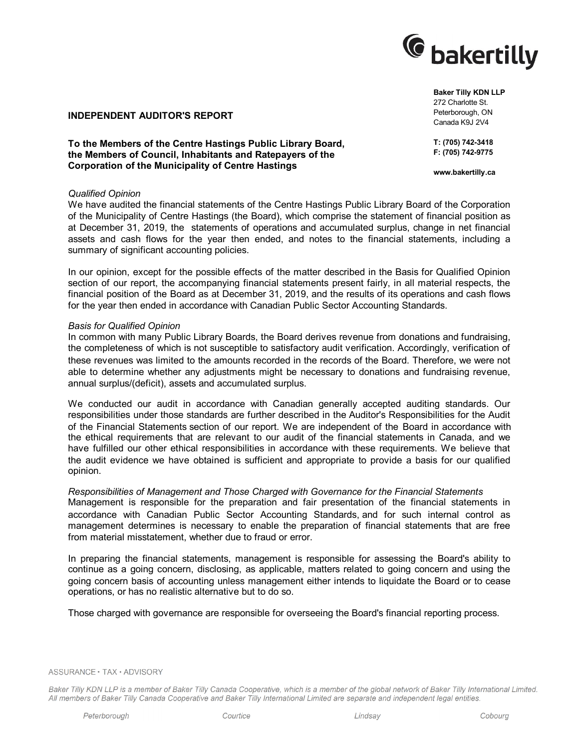

#### **INDEPENDENT AUDITOR'S REPORT**

#### **To the Members of the Centre Hastings Public Library Board, the Members of Council, Inhabitants and Ratepayers of the Corporation of the Municipality of Centre Hastings**

#### *Qualified Opinion*

We have audited the financial statements of the Centre Hastings Public Library Board of the Corporation of the Municipality of Centre Hastings (the Board), which comprise the statement of financial position as at December 31, 2019, the statements of operations and accumulated surplus, change in net financial assets and cash flows for the year then ended, and notes to the financial statements, including a summary of significant accounting policies.

In our opinion, except for the possible effects of the matter described in the Basis for Qualified Opinion section of our report, the accompanying financial statements present fairly, in all material respects, the financial position of the Board as at December 31, 2019, and the results of its operations and cash flows for the year then ended in accordance with Canadian Public Sector Accounting Standards.

#### *Basis for Qualified Opinion*

In common with many Public Library Boards, the Board derives revenue from donations and fundraising, the completeness of which is not susceptible to satisfactory audit verification. Accordingly, verification of these revenues was limited to the amounts recorded in the records of the Board. Therefore, we were not able to determine whether any adjustments might be necessary to donations and fundraising revenue, annual surplus/(deficit), assets and accumulated surplus.

We conducted our audit in accordance with Canadian generally accepted auditing standards. Our responsibilities under those standards are further described in the Auditor's Responsibilities for the Audit of the Financial Statements section of our report. We are independent of the Board in accordance with the ethical requirements that are relevant to our audit of the financial statements in Canada, and we have fulfilled our other ethical responsibilities in accordance with these requirements. We believe that the audit evidence we have obtained is sufficient and appropriate to provide a basis for our qualified opinion.

#### *Responsibilities of Management and Those Charged with Governance for the Financial Statements*

Management is responsible for the preparation and fair presentation of the financial statements in accordance with Canadian Public Sector Accounting Standards, and for such internal control as management determines is necessary to enable the preparation of financial statements that are free from material misstatement, whether due to fraud or error.

In preparing the financial statements, management is responsible for assessing the Board's ability to continue as a going concern, disclosing, as applicable, matters related to going concern and using the going concern basis of accounting unless management either intends to liquidate the Board or to cease operations, or has no realistic alternative but to do so.

Those charged with governance are responsible for overseeing the Board's financial reporting process.

#### ASSURANCE · TAX · ADVISORY

Baker Tilly KDN LLP is a member of Baker Tilly Canada Cooperative, which is a member of the global network of Baker Tilly International Limited. All members of Baker Tilly Canada Cooperative and Baker Tilly International Limited are separate and independent legal entities.

**Baker Tilly KDN LLP** 272 Charlotte St. Peterborough, ON Canada K9J 2V4

**T: (705) 742-3418 F: (705) 742-9775**

**www.bakertilly.ca**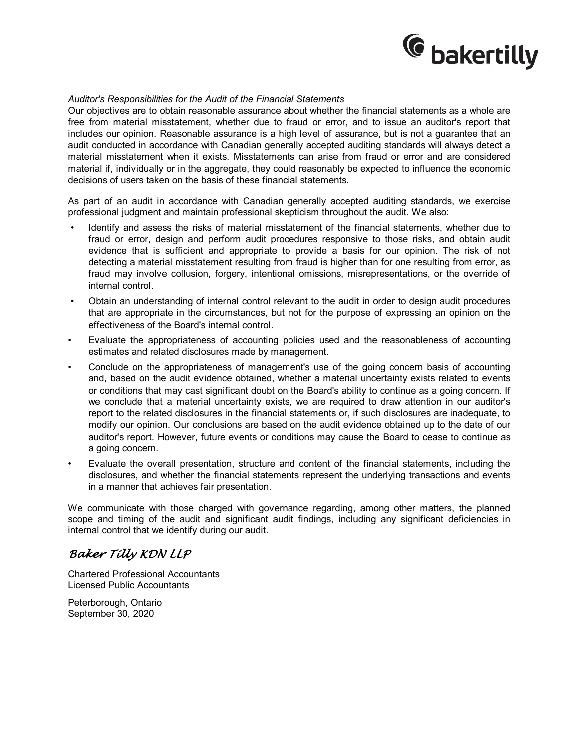

#### *Auditor's Responsibilities for the Audit of the Financial Statements*

Our objectives are to obtain reasonable assurance about whether the financial statements as a whole are free from material misstatement, whether due to fraud or error, and to issue an auditor's report that includes our opinion. Reasonable assurance is a high level of assurance, but is not a guarantee that an audit conducted in accordance with Canadian generally accepted auditing standards will always detect a material misstatement when it exists. Misstatements can arise from fraud or error and are considered material if, individually or in the aggregate, they could reasonably be expected to influence the economic decisions of users taken on the basis of these financial statements.

As part of an audit in accordance with Canadian generally accepted auditing standards, we exercise professional judgment and maintain professional skepticism throughout the audit. We also:

- Identify and assess the risks of material misstatement of the financial statements, whether due to fraud or error, design and perform audit procedures responsive to those risks, and obtain audit evidence that is sufficient and appropriate to provide a basis for our opinion. The risk of not detecting a material misstatement resulting from fraud is higher than for one resulting from error, as fraud may involve collusion, forgery, intentional omissions, misrepresentations, or the override of internal control.
- Obtain an understanding of internal control relevant to the audit in order to design audit procedures that are appropriate in the circumstances, but not for the purpose of expressing an opinion on the effectiveness of the Board's internal control.
- Evaluate the appropriateness of accounting policies used and the reasonableness of accounting estimates and related disclosures made by management.
- Conclude on the appropriateness of management's use of the going concern basis of accounting and, based on the audit evidence obtained, whether a material uncertainty exists related to events or conditions that may cast significant doubt on the Board's ability to continue as a going concern. If we conclude that a material uncertainty exists, we are required to draw attention in our auditor's report to the related disclosures in the financial statements or, if such disclosures are inadequate, to modify our opinion. Our conclusions are based on the audit evidence obtained up to the date of our auditor's report. However, future events or conditions may cause the Board to cease to continue as a going concern.
- Evaluate the overall presentation, structure and content of the financial statements, including the disclosures, and whether the financial statements represent the underlying transactions and events in a manner that achieves fair presentation.

We communicate with those charged with governance regarding, among other matters, the planned scope and timing of the audit and significant audit findings, including any significant deficiencies in internal control that we identify during our audit.

### *Baker Tilly KDN LLP*

Chartered Professional Accountants Licensed Public Accountants

Peterborough, Ontario September 30, 2020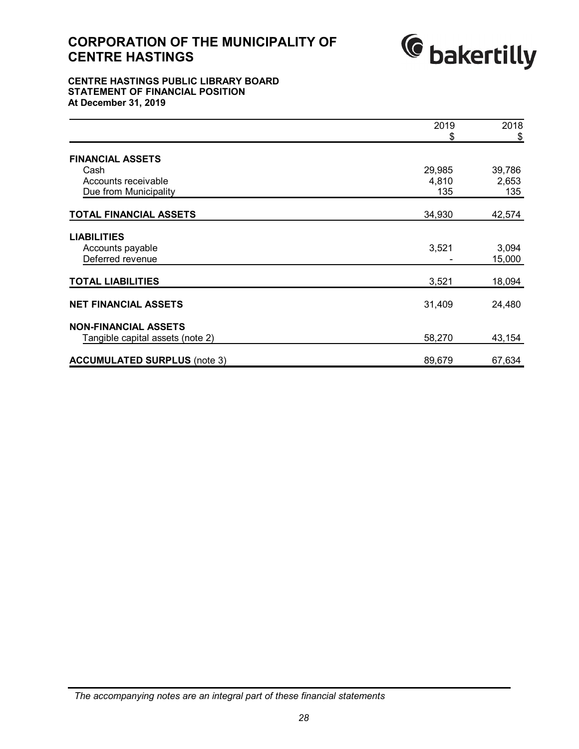

### **CENTRE HASTINGS PUBLIC LIBRARY BOARD STATEMENT OF FINANCIAL POSITION At December 31, 2019**

|                                     | 2019   | 2018   |
|-------------------------------------|--------|--------|
|                                     | \$     | \$     |
| <b>FINANCIAL ASSETS</b>             |        |        |
| Cash                                | 29,985 | 39,786 |
| Accounts receivable                 | 4,810  | 2,653  |
| Due from Municipality               | 135    | 135    |
| <b>TOTAL FINANCIAL ASSETS</b>       | 34,930 | 42,574 |
| <b>LIABILITIES</b>                  |        |        |
| Accounts payable                    | 3,521  | 3,094  |
| Deferred revenue                    |        | 15,000 |
| <b>TOTAL LIABILITIES</b>            | 3,521  | 18,094 |
| <b>NET FINANCIAL ASSETS</b>         | 31,409 | 24,480 |
| <b>NON-FINANCIAL ASSETS</b>         |        |        |
| Tangible capital assets (note 2)    | 58,270 | 43,154 |
| <b>ACCUMULATED SURPLUS (note 3)</b> | 89,679 | 67,634 |

*The accompanying notes are an integral part of these financial statements*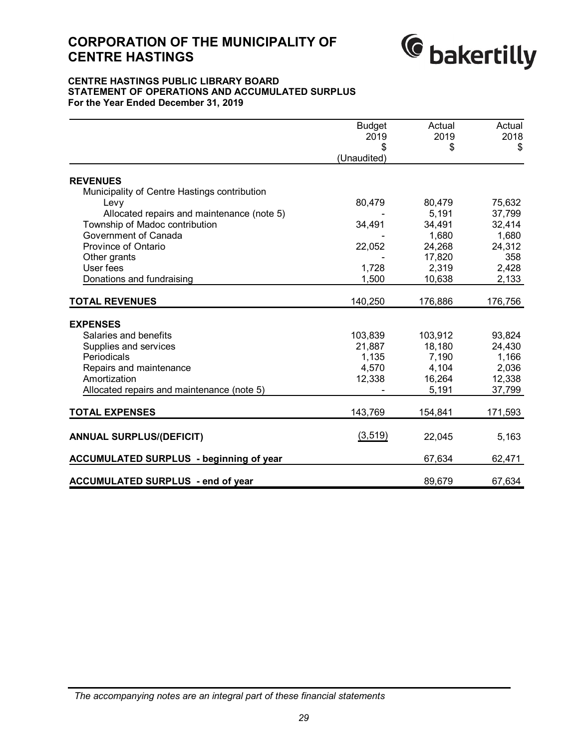

### **CENTRE HASTINGS PUBLIC LIBRARY BOARD STATEMENT OF OPERATIONS AND ACCUMULATED SURPLUS For the Year Ended December 31, 2019**

|                                                | <b>Budget</b> | Actual  | Actual  |
|------------------------------------------------|---------------|---------|---------|
|                                                | 2019<br>\$    | 2019    | 2018    |
|                                                | (Unaudited)   | \$      | \$      |
| <b>REVENUES</b>                                |               |         |         |
| Municipality of Centre Hastings contribution   |               |         |         |
| Levy                                           | 80,479        | 80,479  | 75,632  |
| Allocated repairs and maintenance (note 5)     |               | 5,191   | 37,799  |
| Township of Madoc contribution                 | 34,491        | 34,491  | 32,414  |
| Government of Canada                           |               | 1,680   | 1,680   |
| Province of Ontario                            | 22,052        | 24,268  | 24,312  |
| Other grants                                   |               | 17,820  | 358     |
| User fees                                      | 1,728         | 2,319   | 2,428   |
| Donations and fundraising                      | 1,500         | 10,638  | 2,133   |
|                                                |               |         |         |
| <b>TOTAL REVENUES</b>                          | 140,250       | 176,886 | 176,756 |
| <b>EXPENSES</b>                                |               |         |         |
| Salaries and benefits                          | 103,839       | 103,912 | 93,824  |
| Supplies and services                          | 21,887        | 18,180  | 24,430  |
| Periodicals                                    | 1,135         | 7,190   | 1,166   |
| Repairs and maintenance                        | 4,570         | 4,104   | 2,036   |
| Amortization                                   | 12,338        | 16,264  | 12,338  |
| Allocated repairs and maintenance (note 5)     |               | 5,191   | 37,799  |
| <b>TOTAL EXPENSES</b>                          | 143,769       | 154,841 | 171,593 |
|                                                |               |         |         |
| <b>ANNUAL SURPLUS/(DEFICIT)</b>                | (3, 519)      | 22,045  | 5,163   |
| <b>ACCUMULATED SURPLUS - beginning of year</b> |               | 67,634  | 62,471  |
|                                                |               |         |         |
| <b>ACCUMULATED SURPLUS - end of year</b>       |               | 89,679  | 67,634  |

 *The accompanying notes are an integral part of these financial statements*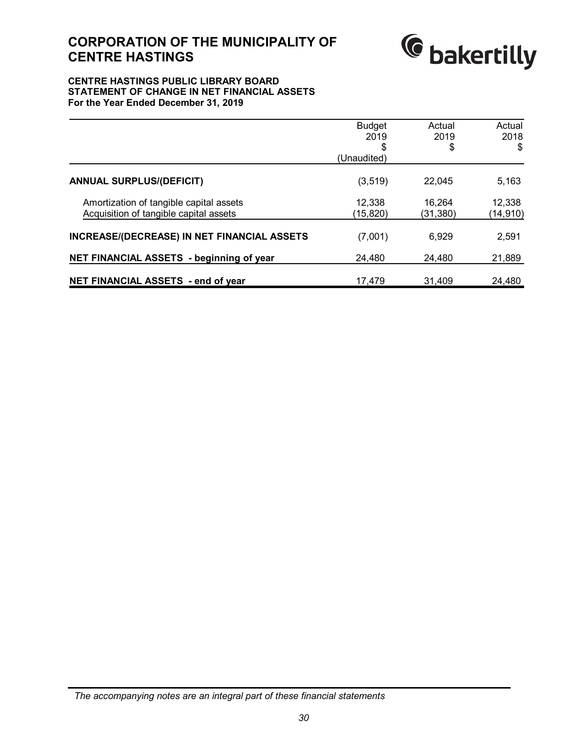

### **CENTRE HASTINGS PUBLIC LIBRARY BOARD STATEMENT OF CHANGE IN NET FINANCIAL ASSETS For the Year Ended December 31, 2019**

|                                                                                   | <b>Budget</b><br>2019 | Actual<br>2019     | Actual<br>2018     |  |
|-----------------------------------------------------------------------------------|-----------------------|--------------------|--------------------|--|
|                                                                                   | \$<br>(Unaudited)     | \$                 | \$                 |  |
|                                                                                   |                       |                    |                    |  |
| <b>ANNUAL SURPLUS/(DEFICIT)</b>                                                   | (3,519)               | 22,045             | 5,163              |  |
| Amortization of tangible capital assets<br>Acquisition of tangible capital assets | 12,338<br>(15, 820)   | 16,264<br>(31,380) | 12,338<br>(14,910) |  |
| INCREASE/(DECREASE) IN NET FINANCIAL ASSETS                                       | (7,001)               | 6,929              | 2,591              |  |
| NET FINANCIAL ASSETS - beginning of year                                          | 24,480                | 24,480             | 21,889             |  |
| <b>NET FINANCIAL ASSETS</b><br>- end of year                                      | 17.479                | 31,409             | 24,480             |  |

*The accompanying notes are an integral part of these financial statements*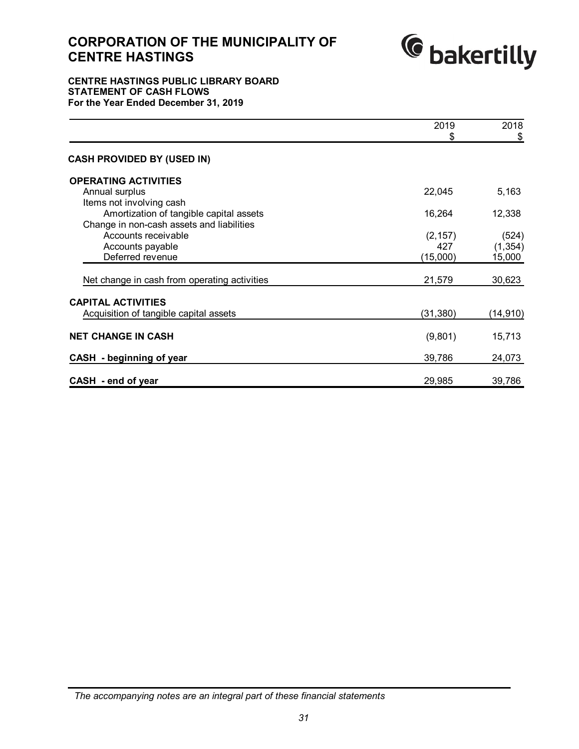

#### **CENTRE HASTINGS PUBLIC LIBRARY BOARD STATEMENT OF CASH FLOWS For the Year Ended December 31, 2019**

|                                              | 2019<br>\$ | 2018<br>\$ |
|----------------------------------------------|------------|------------|
| <b>CASH PROVIDED BY (USED IN)</b>            |            |            |
| <b>OPERATING ACTIVITIES</b>                  |            |            |
| Annual surplus                               | 22,045     | 5,163      |
| Items not involving cash                     |            |            |
| Amortization of tangible capital assets      | 16,264     | 12,338     |
| Change in non-cash assets and liabilities    |            |            |
| Accounts receivable                          | (2, 157)   | (524)      |
| Accounts payable                             | 427        | (1, 354)   |
| Deferred revenue                             | (15,000)   | 15,000     |
| Net change in cash from operating activities | 21,579     | 30,623     |
|                                              |            |            |
| <b>CAPITAL ACTIVITIES</b>                    |            |            |
| Acquisition of tangible capital assets       | (31, 380)  | (14,910)   |
|                                              |            |            |
| <b>NET CHANGE IN CASH</b>                    | (9,801)    | 15,713     |
| CASH - beginning of year                     | 39,786     | 24,073     |
|                                              |            |            |
| CASH - end of year                           | 29,985     | 39,786     |

*The accompanying notes are an integral part of these financial statements*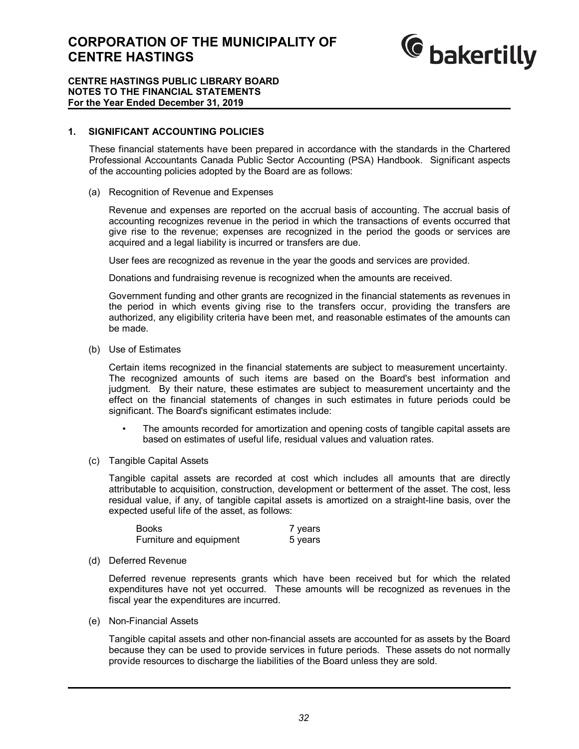

#### **CENTRE HASTINGS PUBLIC LIBRARY BOARD NOTES TO THE FINANCIAL STATEMENTS For the Year Ended December 31, 2019**

#### **1. SIGNIFICANT ACCOUNTING POLICIES**

These financial statements have been prepared in accordance with the standards in the Chartered Professional Accountants Canada Public Sector Accounting (PSA) Handbook. Significant aspects of the accounting policies adopted by the Board are as follows:

(a) Recognition of Revenue and Expenses

Revenue and expenses are reported on the accrual basis of accounting. The accrual basis of accounting recognizes revenue in the period in which the transactions of events occurred that give rise to the revenue; expenses are recognized in the period the goods or services are acquired and a legal liability is incurred or transfers are due.

User fees are recognized as revenue in the year the goods and services are provided.

Donations and fundraising revenue is recognized when the amounts are received.

Government funding and other grants are recognized in the financial statements as revenues in the period in which events giving rise to the transfers occur, providing the transfers are authorized, any eligibility criteria have been met, and reasonable estimates of the amounts can be made.

(b) Use of Estimates

Certain items recognized in the financial statements are subject to measurement uncertainty. The recognized amounts of such items are based on the Board's best information and judgment. By their nature, these estimates are subject to measurement uncertainty and the effect on the financial statements of changes in such estimates in future periods could be significant. The Board's significant estimates include:

- The amounts recorded for amortization and opening costs of tangible capital assets are based on estimates of useful life, residual values and valuation rates.
- (c) Tangible Capital Assets

Tangible capital assets are recorded at cost which includes all amounts that are directly attributable to acquisition, construction, development or betterment of the asset. The cost, less residual value, if any, of tangible capital assets is amortized on a straight-line basis, over the expected useful life of the asset, as follows:

| Books                   | 7 years |
|-------------------------|---------|
| Furniture and equipment | 5 years |

#### (d) Deferred Revenue

Deferred revenue represents grants which have been received but for which the related expenditures have not yet occurred. These amounts will be recognized as revenues in the fiscal year the expenditures are incurred.

(e) Non-Financial Assets

Tangible capital assets and other non-financial assets are accounted for as assets by the Board because they can be used to provide services in future periods. These assets do not normally provide resources to discharge the liabilities of the Board unless they are sold.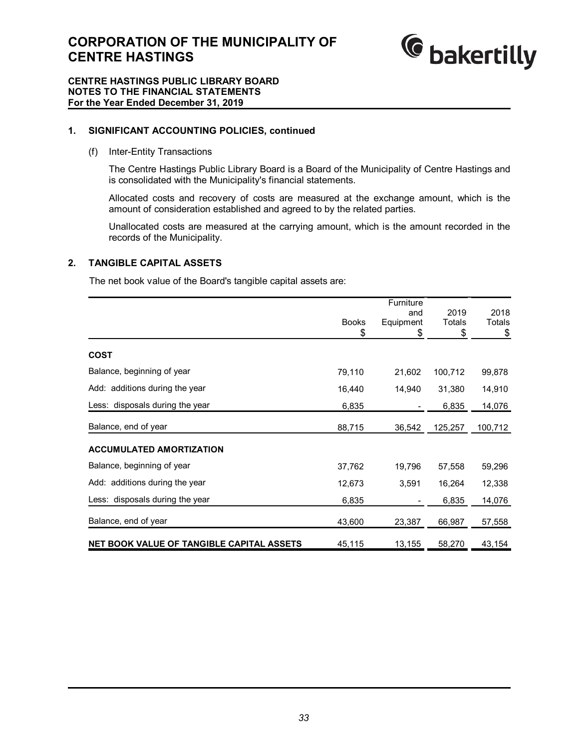

#### **CENTRE HASTINGS PUBLIC LIBRARY BOARD NOTES TO THE FINANCIAL STATEMENTS For the Year Ended December 31, 2019**

#### **1. SIGNIFICANT ACCOUNTING POLICIES, continued**

(f) Inter-Entity Transactions

The Centre Hastings Public Library Board is a Board of the Municipality of Centre Hastings and is consolidated with the Municipality's financial statements.

Allocated costs and recovery of costs are measured at the exchange amount, which is the amount of consideration established and agreed to by the related parties.

Unallocated costs are measured at the carrying amount, which is the amount recorded in the records of the Municipality.

#### **2. TANGIBLE CAPITAL ASSETS**

The net book value of the Board's tangible capital assets are:

|                                           |                    | Furniture<br>and         | 2019         | 2018         |
|-------------------------------------------|--------------------|--------------------------|--------------|--------------|
|                                           | <b>Books</b><br>\$ | Equipment<br>\$          | Totals<br>\$ | Totals<br>\$ |
|                                           |                    |                          |              |              |
| <b>COST</b>                               |                    |                          |              |              |
| Balance, beginning of year                | 79,110             | 21,602                   | 100,712      | 99,878       |
| Add: additions during the year            | 16,440             | 14,940                   | 31,380       | 14,910       |
| Less: disposals during the year           | 6,835              | $\overline{\phantom{a}}$ | 6,835        | 14,076       |
| Balance, end of year                      | 88,715             | 36,542                   | 125,257      | 100,712      |
| <b>ACCUMULATED AMORTIZATION</b>           |                    |                          |              |              |
| Balance, beginning of year                | 37,762             | 19,796                   | 57,558       | 59,296       |
| Add: additions during the year            | 12,673             | 3,591                    | 16,264       | 12,338       |
| Less: disposals during the year           | 6,835              | $\blacksquare$           | 6,835        | 14,076       |
| Balance, end of year                      | 43,600             | 23,387                   | 66,987       | 57,558       |
| NET BOOK VALUE OF TANGIBLE CAPITAL ASSETS | 45,115             | 13,155                   | 58,270       | 43,154       |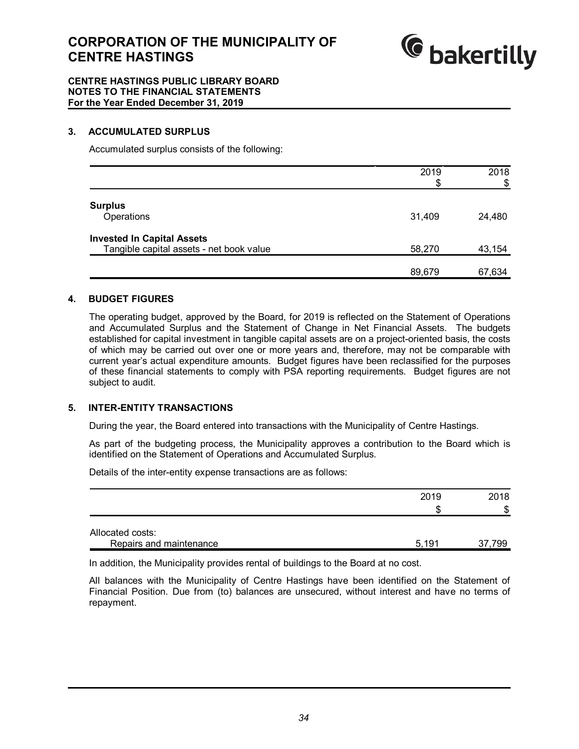

#### **CENTRE HASTINGS PUBLIC LIBRARY BOARD NOTES TO THE FINANCIAL STATEMENTS For the Year Ended December 31, 2019**

#### **3. ACCUMULATED SURPLUS**

Accumulated surplus consists of the following:

|                                          | 2019<br>œ | 2018<br>\$ |
|------------------------------------------|-----------|------------|
| <b>Surplus</b>                           |           |            |
| Operations                               | 31,409    | 24,480     |
| <b>Invested In Capital Assets</b>        |           |            |
| Tangible capital assets - net book value | 58,270    | 43,154     |
|                                          |           |            |
|                                          | 89,679    | 67,634     |

#### **4. BUDGET FIGURES**

The operating budget, approved by the Board, for 2019 is reflected on the Statement of Operations and Accumulated Surplus and the Statement of Change in Net Financial Assets. The budgets established for capital investment in tangible capital assets are on a project-oriented basis, the costs of which may be carried out over one or more years and, therefore, may not be comparable with current year's actual expenditure amounts. Budget figures have been reclassified for the purposes of these financial statements to comply with PSA reporting requirements. Budget figures are not subject to audit.

### **5. INTER-ENTITY TRANSACTIONS**

During the year, the Board entered into transactions with the Municipality of Centre Hastings.

As part of the budgeting process, the Municipality approves a contribution to the Board which is identified on the Statement of Operations and Accumulated Surplus.

Details of the inter-entity expense transactions are as follows:

|                         | 2019  | 2018 |
|-------------------------|-------|------|
|                         | ۰D    | \$   |
| Allocated costs:        |       |      |
| Repairs and maintenance | 5.191 | 799  |

In addition, the Municipality provides rental of buildings to the Board at no cost.

All balances with the Municipality of Centre Hastings have been identified on the Statement of Financial Position. Due from (to) balances are unsecured, without interest and have no terms of repayment.